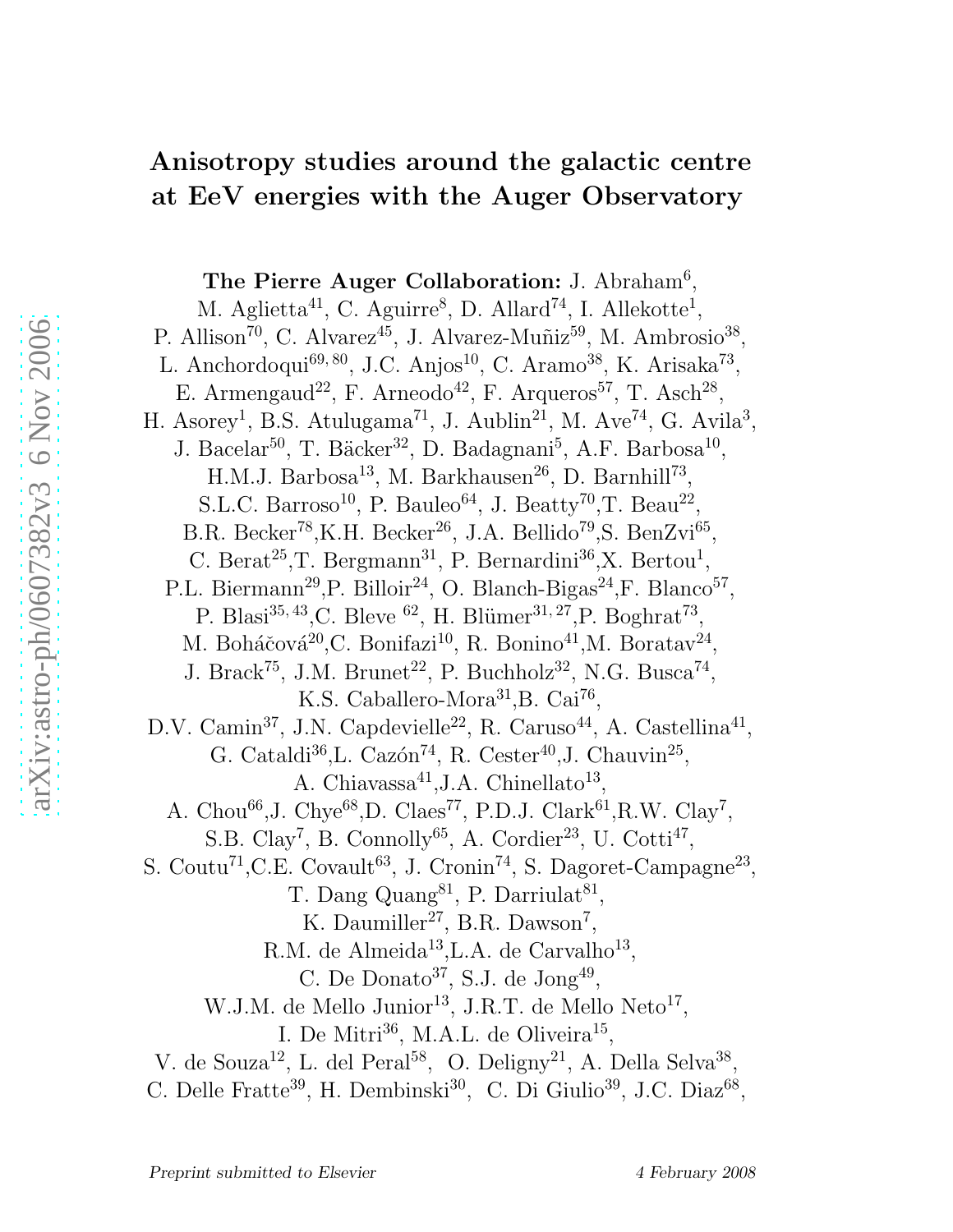# Anisotropy studies around the galactic centre at EeV energies with the Auger Observatory

The Pierre Auger Collaboration: J. Abraham<sup>6</sup>, M. Aglietta<sup>41</sup>, C. Aguirre<sup>8</sup>, D. Allard<sup>74</sup>, I. Allekotte<sup>1</sup>, P. Allison<sup>70</sup>, C. Alvarez<sup>45</sup>, J. Alvarez-Muñiz<sup>59</sup>, M. Ambrosio<sup>38</sup>, L. Anchordoqui<sup>69, 80</sup>, J.C. Anjos<sup>10</sup>, C. Aramo<sup>38</sup>, K. Arisaka<sup>73</sup>, E. Armengaud<sup>22</sup>, F. Arneodo<sup>42</sup>, F. Arqueros<sup>57</sup>, T. Asch<sup>28</sup>, H. Asorey<sup>1</sup>, B.S. Atulugama<sup>71</sup>, J. Aublin<sup>21</sup>, M. Ave<sup>74</sup>, G. Avila<sup>3</sup>, J. Bacelar<sup>50</sup>, T. Bäcker<sup>32</sup>, D. Badagnani<sup>5</sup>, A.F. Barbosa<sup>10</sup>, H.M.J. Barbosa<sup>13</sup>, M. Barkhausen<sup>26</sup>, D. Barnhill<sup>73</sup>, S.L.C. Barroso<sup>10</sup>, P. Bauleo<sup>64</sup>, J. Beatty<sup>70</sup>,T. Beau<sup>22</sup>, B.R. Becker<sup>78</sup>,K.H. Becker<sup>26</sup>, J.A. Bellido<sup>79</sup>,S. BenZvi<sup>65</sup>, C. Berat<sup>25</sup>, T. Bergmann<sup>31</sup>, P. Bernardini<sup>36</sup>, X. Bertou<sup>1</sup>, P.L. Biermann<sup>29</sup>, P. Billoir<sup>24</sup>, O. Blanch-Bigas<sup>24</sup>, F. Blanco<sup>57</sup>, P. Blasi<sup>35,43</sup>,C. Bleve <sup>62</sup>, H. Blümer<sup>31,27</sup>,P. Boghrat<sup>73</sup>, M. Boháčová<sup>20</sup>,C. Bonifazi<sup>10</sup>, R. Bonino<sup>41</sup>,M. Boratav<sup>24</sup>, J. Brack<sup>75</sup>, J.M. Brunet<sup>22</sup>, P. Buchholz<sup>32</sup>, N.G. Busca<sup>74</sup>, K.S. Caballero-Mora<sup>31</sup>, B. Cai<sup>76</sup>, D.V. Camin<sup>37</sup>, J.N. Capdevielle<sup>22</sup>, R. Caruso<sup>44</sup>, A. Castellina<sup>41</sup>, G. Cataldi<sup>36</sup>, L. Cazón<sup>74</sup>, R. Cester<sup>40</sup>, J. Chauvin<sup>25</sup>, A. Chiavassa<sup>41</sup>, J.A. Chinellato<sup>13</sup>, A. Chou<sup>66</sup>, J. Chye<sup>68</sup>, D. Claes<sup>77</sup>, P.D. J. Clark<sup>61</sup>, R.W. Clay<sup>7</sup>, S.B. Clay<sup>7</sup>, B. Connolly<sup>65</sup>, A. Cordier<sup>23</sup>, U. Cotti<sup>47</sup>, S. Coutu<sup>71</sup>, C.E. Covault<sup>63</sup>, J. Cronin<sup>74</sup>, S. Dagoret-Campagne<sup>23</sup>, T. Dang Quang<sup>81</sup>, P. Darriulat<sup>81</sup>, K. Daumiller<sup>27</sup>, B.R. Dawson<sup>7</sup>, R.M. de Almeida<sup>13</sup>, L.A. de Carvalho<sup>13</sup>, C. De Donato<sup>37</sup>, S.J. de  $\text{Jong}^{49}$ , W.J.M. de Mello Junior<sup>13</sup>, J.R.T. de Mello Neto<sup>17</sup>, I. De Mitri $^{36}$ , M.A.L. de Oliveira<sup>15</sup>, V. de Souza<sup>12</sup>, L. del Peral<sup>58</sup>, O. Deligny<sup>21</sup>, A. Della Selva<sup>38</sup>, C. Delle Fratte<sup>39</sup>, H. Dembinski<sup>30</sup>, C. Di Giulio<sup>39</sup>, J.C. Diaz<sup>68</sup>,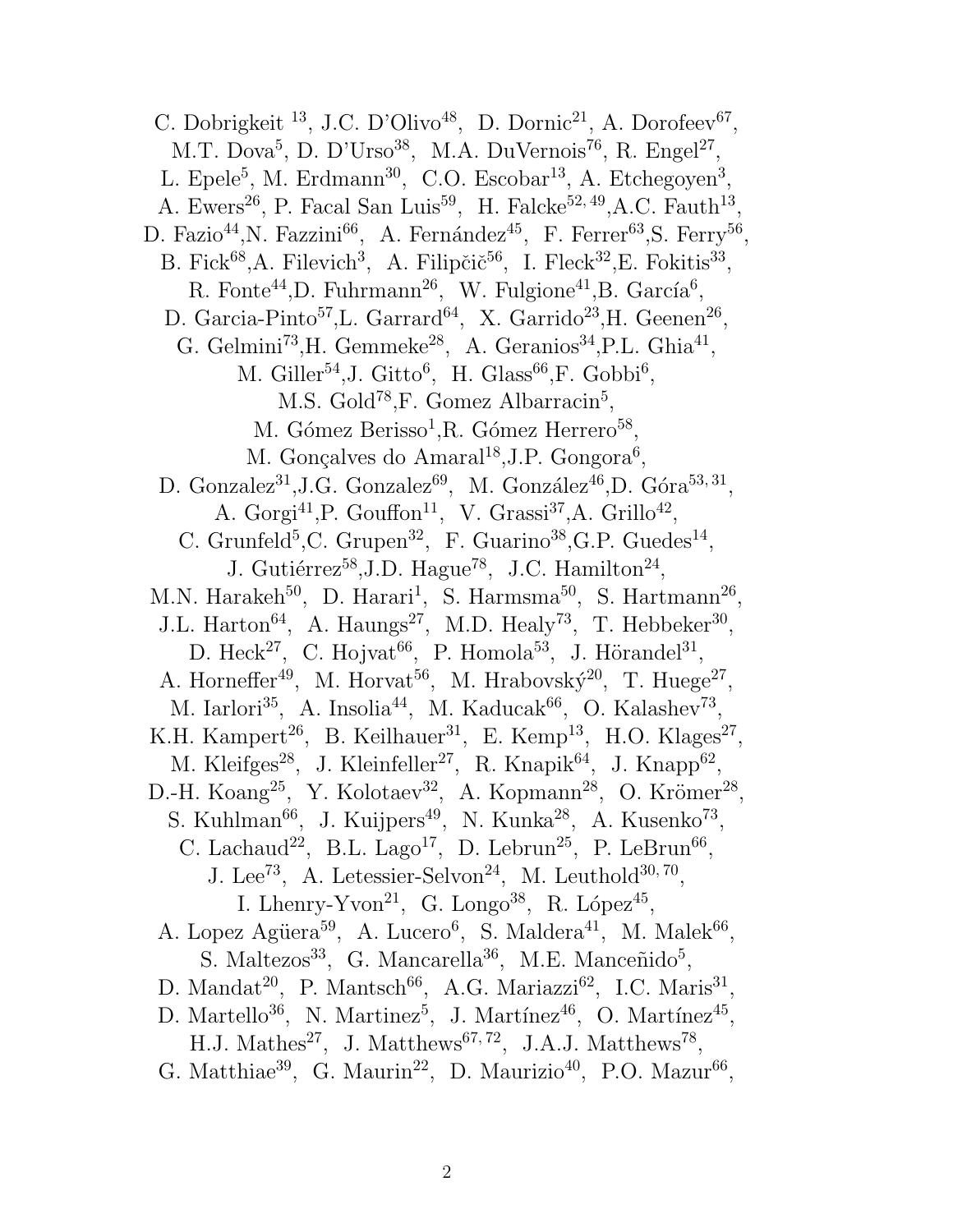C. Dobrigkeit <sup>13</sup>, J.C. D'Olivo<sup>48</sup>, D. Dornic<sup>21</sup>, A. Dorofeev<sup>67</sup>, M.T. Dova<sup>5</sup>, D. D'Urso<sup>38</sup>, M.A. DuVernois<sup>76</sup>, R. Engel<sup>27</sup>, L. Epele<sup>5</sup>, M. Erdmann<sup>30</sup>, C.O. Escobar<sup>13</sup>, A. Etchegoyen<sup>3</sup>, A. Ewers<sup>26</sup>, P. Facal San Luis<sup>59</sup>, H. Falcke<sup>52, 49</sup>, A.C. Fauth<sup>13</sup>, D. Fazio<sup>44</sup>, N. Fazzini<sup>66</sup>, A. Fernández<sup>45</sup>, F. Ferrer<sup>63</sup>, S. Ferry<sup>56</sup>, B. Fick<sup>68</sup>, A. Filevich<sup>3</sup>, A. Filipčič<sup>56</sup>, I. Fleck<sup>32</sup>, E. Fokitis<sup>33</sup>, R. Fonte<sup>44</sup>, D. Fuhrmann<sup>26</sup>, W. Fulgione<sup>41</sup>, B. García<sup>6</sup>, D. Garcia-Pinto<sup>57</sup>, L. Garrard<sup>64</sup>, X. Garrido<sup>23</sup>, H. Geenen<sup>26</sup>, G. Gelmini<sup>73</sup>, H. Gemmeke<sup>28</sup>, A. Geranios<sup>34</sup>, P.L. Ghia<sup>41</sup>, M. Giller<sup>54</sup>, J. Gitto<sup>6</sup>, H. Glass<sup>66</sup>, F. Gobbi<sup>6</sup>, M.S. Gold<sup>78</sup>, F. Gomez Albarracin<sup>5</sup>, M. Gómez Berisso<sup>1</sup>, R. Gómez Herrero<sup>58</sup>, M. Gonçalves do Amaral<sup>18</sup>, J.P. Gongora<sup>6</sup>, D. Gonzalez<sup>31</sup>, J.G. Gonzalez<sup>69</sup>, M. González<sup>46</sup>, D. Góra<sup>53, 31</sup>, A. Gorgi<sup>41</sup>, P. Gouffon<sup>11</sup>, V. Grassi<sup>37</sup>, A. Grillo<sup>42</sup>, C. Grunfeld<sup>5</sup>,C. Grupen<sup>32</sup>, F. Guarino<sup>38</sup>, G.P. Guedes<sup>14</sup>, J. Gutiérrez<sup>58</sup>, J.D. Hague<sup>78</sup>, J.C. Hamilton<sup>24</sup>, M.N. Harakeh<sup>50</sup>, D. Harari<sup>1</sup>, S. Harmsma<sup>50</sup>, S. Hartmann<sup>26</sup>, J.L. Harton<sup>64</sup>, A. Haungs<sup>27</sup>, M.D. Healy<sup>73</sup>, T. Hebbeker<sup>30</sup>, D. Heck<sup>27</sup>, C. Hojvat<sup>66</sup>, P. Homola<sup>53</sup>, J. Hörandel<sup>31</sup>, A. Horneffer<sup>49</sup>, M. Horvat<sup>56</sup>, M. Hrabovský<sup>20</sup>, T. Huege<sup>27</sup>, M. Iarlori<sup>35</sup>, A. Insolia<sup>44</sup>, M. Kaducak<sup>66</sup>, O. Kalashev<sup>73</sup>, K.H. Kampert<sup>26</sup>, B. Keilhauer<sup>31</sup>, E. Kemp<sup>13</sup>, H.O. Klages<sup>27</sup>, M. Kleifges<sup>28</sup>, J. Kleinfeller<sup>27</sup>, R. Knapik<sup>64</sup>, J. Knapp<sup>62</sup>, D.-H. Koang<sup>25</sup>, Y. Kolotaev<sup>32</sup>, A. Kopmann<sup>28</sup>, O. Krömer<sup>28</sup>, S. Kuhlman<sup>66</sup>, J. Kuijpers<sup>49</sup>, N. Kunka<sup>28</sup>, A. Kusenko<sup>73</sup>, C. Lachaud<sup>22</sup>, B.L. Lago<sup>17</sup>, D. Lebrun<sup>25</sup>, P. LeBrun<sup>66</sup>, J. Lee<sup>73</sup>, A. Letessier-Selvon<sup>24</sup>, M. Leuthold<sup>30, 70</sup>, I. Lhenry-Yvon<sup>21</sup>, G. Longo<sup>38</sup>, R. López<sup>45</sup>, A. Lopez Agüera<sup>59</sup>, A. Lucero<sup>6</sup>, S. Maldera<sup>41</sup>, M. Malek<sup>66</sup>, S. Maltezos<sup>33</sup>, G. Mancarella<sup>36</sup>, M.E. Manceñido<sup>5</sup>, D. Mandat<sup>20</sup>, P. Mantsch<sup>66</sup>, A.G. Mariazzi<sup>62</sup>, I.C. Maris<sup>31</sup>, D. Martello<sup>36</sup>, N. Martinez<sup>5</sup>, J. Martínez<sup>46</sup>, O. Martínez<sup>45</sup>, H.J. Mathes<sup>27</sup>, J. Matthews<sup>67, 72</sup>, J.A.J. Matthews<sup>78</sup>, G. Matthiae<sup>39</sup>, G. Maurin<sup>22</sup>, D. Maurizio<sup>40</sup>, P.O. Mazur<sup>66</sup>,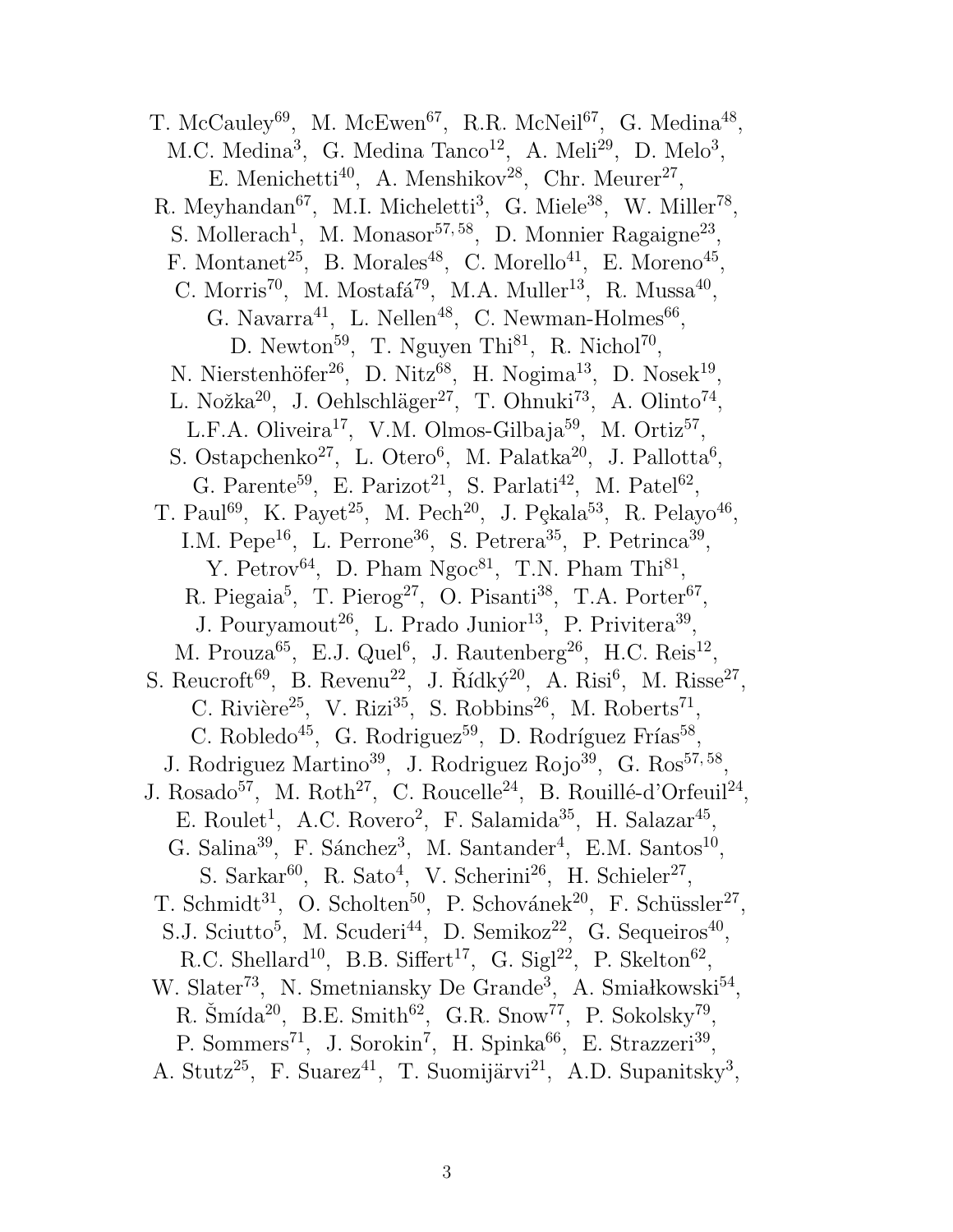T. McCauley<sup>69</sup>, M. McEwen<sup>67</sup>, R.R. McNeil<sup>67</sup>, G. Medina<sup>48</sup>, M.C. Medina<sup>3</sup>, G. Medina Tanco<sup>12</sup>, A. Meli<sup>29</sup>, D. Melo<sup>3</sup>, E. Menichetti<sup>40</sup>, A. Menshikov<sup>28</sup>, Chr. Meurer<sup>27</sup>, R. Meyhandan<sup>67</sup>, M.I. Micheletti<sup>3</sup>, G. Miele<sup>38</sup>, W. Miller<sup>78</sup>, S. Mollerach<sup>1</sup>, M. Monasor<sup>57,58</sup>, D. Monnier Ragaigne<sup>23</sup>, F. Montanet<sup>25</sup>, B. Morales<sup>48</sup>, C. Morello<sup>41</sup>, E. Moreno<sup>45</sup>, C. Morris<sup>70</sup>, M. Mostafá<sup>79</sup>, M.A. Muller<sup>13</sup>, R. Mussa<sup>40</sup>, G. Navarra<sup>41</sup>, L. Nellen<sup>48</sup>, C. Newman-Holmes<sup>66</sup>, D. Newton<sup>59</sup>, T. Nguyen Thi<sup>81</sup>, R. Nichol<sup>70</sup>, N. Nierstenhöfer<sup>26</sup>, D. Nitz<sup>68</sup>, H. Nogima<sup>13</sup>, D. Nosek<sup>19</sup>, L. Nožka<sup>20</sup>, J. Oehlschläger<sup>27</sup>, T. Ohnuki<sup>73</sup>, A. Olinto<sup>74</sup>, L.F.A. Oliveira<sup>17</sup>, V.M. Olmos-Gilbaja<sup>59</sup>, M. Ortiz<sup>57</sup>, S. Ostapchenko<sup>27</sup>, L. Otero<sup>6</sup>, M. Palatka<sup>20</sup>, J. Pallotta<sup>6</sup>, G. Parente<sup>59</sup>, E. Parizot<sup>21</sup>, S. Parlati<sup>42</sup>, M. Patel<sup>62</sup>, T. Paul<sup>69</sup>, K. Payet<sup>25</sup>, M. Pech<sup>20</sup>, J. Pękala<sup>53</sup>, R. Pelayo<sup>46</sup>, I.M. Pepe<sup>16</sup>, L. Perrone<sup>36</sup>, S. Petrera<sup>35</sup>, P. Petrinca<sup>39</sup>, Y. Petrov<sup>64</sup>, D. Pham Ngoc<sup>81</sup>, T.N. Pham Thi<sup>81</sup>, R. Piegaia<sup>5</sup>, T. Pierog<sup>27</sup>, O. Pisanti<sup>38</sup>, T.A. Porter<sup>67</sup>, J. Pouryamout<sup>26</sup>, L. Prado Junior<sup>13</sup>, P. Privitera<sup>39</sup>, M. Prouza<sup>65</sup>, E.J. Quel<sup>6</sup>, J. Rautenberg<sup>26</sup>, H.C. Reis<sup>12</sup>, S. Reucroft<sup>69</sup>, B. Revenu<sup>22</sup>, J. Řídký<sup>20</sup>, A. Risi<sup>6</sup>, M. Risse<sup>27</sup>, C. Rivière<sup>25</sup>, V. Rizi<sup>35</sup>, S. Robbins<sup>26</sup>, M. Roberts<sup>71</sup>, C. Robledo<sup>45</sup>, G. Rodriguez<sup>59</sup>, D. Rodríguez Frías<sup>58</sup>, J. Rodriguez Martino<sup>39</sup>, J. Rodriguez Rojo<sup>39</sup>, G. Ros<sup>57,58</sup>, J. Rosado<sup>57</sup>, M. Roth<sup>27</sup>, C. Roucelle<sup>24</sup>, B. Rouillé-d'Orfeuil<sup>24</sup>, E. Roulet<sup>1</sup>, A.C. Rovero<sup>2</sup>, F. Salamida<sup>35</sup>, H. Salazar<sup>45</sup>, G. Salina<sup>39</sup>, F. Sánchez<sup>3</sup>, M. Santander<sup>4</sup>, E.M. Santos<sup>10</sup>, S. Sarkar<sup>60</sup>, R. Sato<sup>4</sup>, V. Scherini<sup>26</sup>, H. Schieler<sup>27</sup>, T. Schmidt<sup>31</sup>, O. Scholten<sup>50</sup>, P. Schovánek<sup>20</sup>, F. Schüssler<sup>27</sup>, S.J. Sciutto<sup>5</sup>, M. Scuderi<sup>44</sup>, D. Semikoz<sup>22</sup>, G. Sequeiros<sup>40</sup>, R.C. Shellard<sup>10</sup>, B.B. Siffert<sup>17</sup>, G. Sigl<sup>22</sup>, P. Skelton<sup>62</sup>, W. Slater<sup>73</sup>, N. Smetniansky De Grande<sup>3</sup>, A. Smiałkowski<sup>54</sup>, R. Šmída<sup>20</sup>, B.E. Smith<sup>62</sup>, G.R. Snow<sup>77</sup>, P. Sokolsky<sup>79</sup>, P. Sommers<sup>71</sup>, J. Sorokin<sup>7</sup>, H. Spinka<sup>66</sup>, E. Strazzeri<sup>39</sup>, A. Stutz<sup>25</sup>, F. Suarez<sup>41</sup>, T. Suomijärvi<sup>21</sup>, A.D. Supanitsky<sup>3</sup>,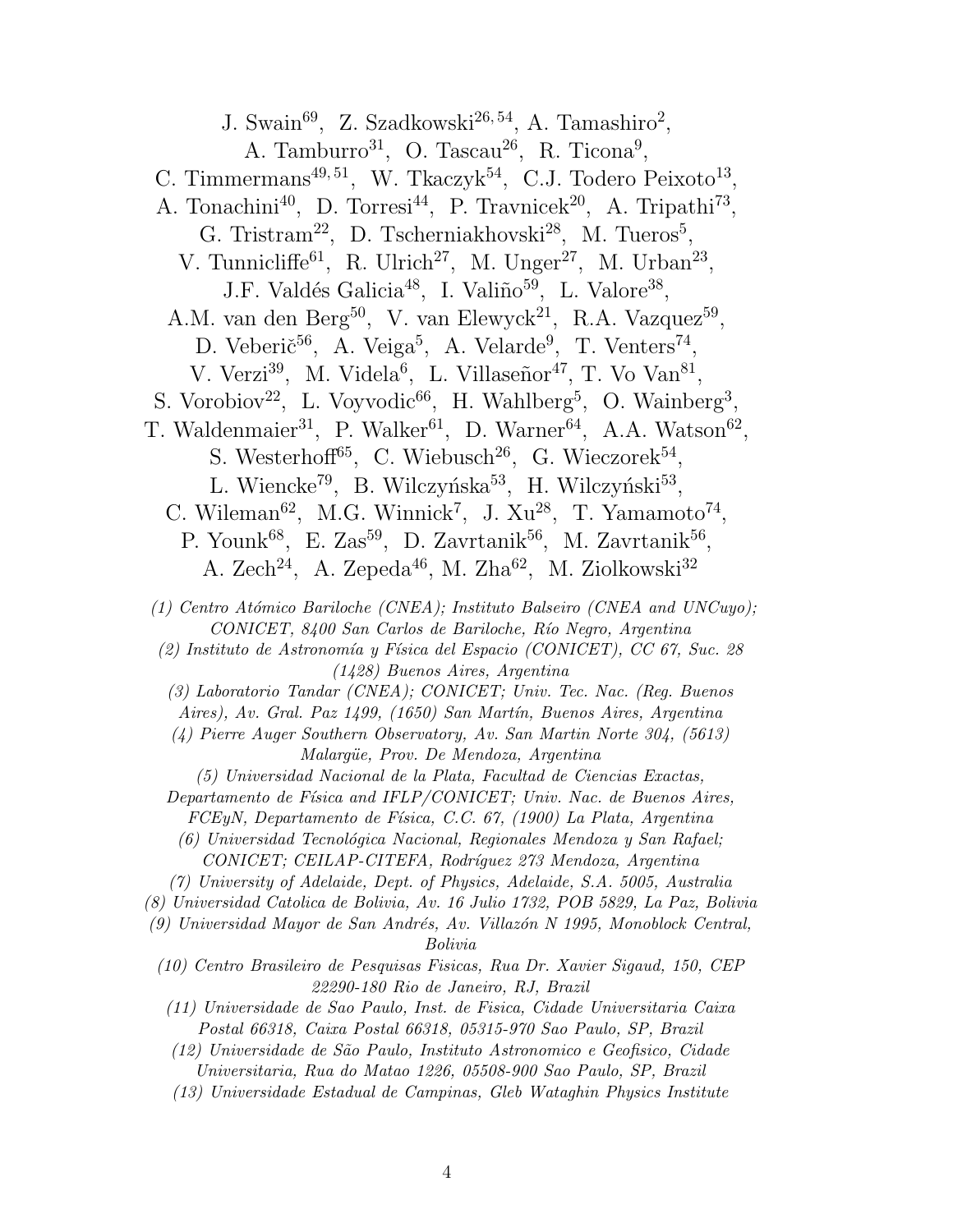J. Swain<sup>69</sup>, Z. Szadkowski<sup>26,54</sup>, A. Tamashiro<sup>2</sup>, A. Tamburro<sup>31</sup>, O. Tascau<sup>26</sup>, R. Ticona<sup>9</sup>, C. Timmermans<sup>49,51</sup>, W. Tkaczyk<sup>54</sup>, C.J. Todero Peixoto<sup>13</sup>, A. Tonachini<sup>40</sup>, D. Torresi<sup>44</sup>, P. Travnicek<sup>20</sup>, A. Tripathi<sup>73</sup>, G. Tristram<sup>22</sup>, D. Tscherniakhovski<sup>28</sup>, M. Tueros<sup>5</sup>, V. Tunnicliffe<sup>61</sup>, R. Ulrich<sup>27</sup>, M. Unger<sup>27</sup>, M. Urban<sup>23</sup>, J.F. Valdés Galicia<sup>48</sup>, I. Valiño<sup>59</sup>, L. Valore<sup>38</sup>, A.M. van den Berg<sup>50</sup>, V. van Elewyck<sup>21</sup>, R.A. Vazquez<sup>59</sup>, D. Veberič<sup>56</sup>, A. Veiga<sup>5</sup>, A. Velarde<sup>9</sup>, T. Venters<sup>74</sup>, V. Verzi<sup>39</sup>, M. Videla<sup>6</sup>, L. Villaseñor<sup>47</sup>, T. Vo Van<sup>81</sup>, S. Vorobiov<sup>22</sup>, L. Voyvodic<sup>66</sup>, H. Wahlberg<sup>5</sup>, O. Wainberg<sup>3</sup>, T. Waldenmaier<sup>31</sup>, P. Walker<sup>61</sup>, D. Warner<sup>64</sup>, A.A. Watson<sup>62</sup>, S. Westerhoff<sup>65</sup>, C. Wiebusch<sup>26</sup>, G. Wieczorek<sup>54</sup>, L. Wiencke<sup>79</sup>, B. Wilczyńska<sup>53</sup>, H. Wilczyński<sup>53</sup>, C. Wileman<sup>62</sup>, M.G. Winnick<sup>7</sup>, J. Xu<sup>28</sup>, T. Yamamoto<sup>74</sup>, P. Younk<sup>68</sup>, E. Zas<sup>59</sup>, D. Zavrtanik<sup>56</sup>, M. Zavrtanik<sup>56</sup>, A. Zech<sup>24</sup>, A. Zepeda<sup>46</sup>, M. Zha<sup>62</sup>, M. Ziolkowski<sup>32</sup> (1) Centro Atómico Bariloche (CNEA); Instituto Balseiro (CNEA and UNCuyo); CONICET, 8400 San Carlos de Bariloche, Río Negro, Argentina  $(2)$  Instituto de Astronomía y Física del Espacio (CONICET), CC 67, Suc. 28 (1428) Buenos Aires, Argentina (3) Laboratorio Tandar (CNEA); CONICET; Univ. Tec. Nac. (Reg. Buenos Aires), Av. Gral. Paz 1499, (1650) San Martín, Buenos Aires, Argentina (4) Pierre Auger Southern Observatory, Av. San Martin Norte 304, (5613) Malargüe, Prov. De Mendoza, Argentina (5) Universidad Nacional de la Plata, Facultad de Ciencias Exactas, Departamento de Física and IFLP/CONICET; Univ. Nac. de Buenos Aires,  $FCEyN$ , Departamento de Física, C.C. 67, (1900) La Plata, Argentina (6) Universidad Tecnológica Nacional, Regionales Mendoza y San Rafael; CONICET; CEILAP-CITEFA, Rodríguez 273 Mendoza, Argentina (7) University of Adelaide, Dept. of Physics, Adelaide, S.A. 5005, Australia (8) Universidad Catolica de Bolivia, Av. 16 Julio 1732, POB 5829, La Paz, Bolivia  $(9)$  Universidad Mayor de San Andrés, Av. Villazón N 1995, Monoblock Central, Bolivia (10) Centro Brasileiro de Pesquisas Fisicas, Rua Dr. Xavier Sigaud, 150, CEP 22290-180 Rio de Janeiro, RJ, Brazil (11) Universidade de Sao Paulo, Inst. de Fisica, Cidade Universitaria Caixa Postal 66318, Caixa Postal 66318, 05315-970 Sao Paulo, SP, Brazil (12) Universidade de S˜ao Paulo, Instituto Astronomico e Geofisico, Cidade Universitaria, Rua do Matao 1226, 05508-900 Sao Paulo, SP, Brazil (13) Universidade Estadual de Campinas, Gleb Wataghin Physics Institute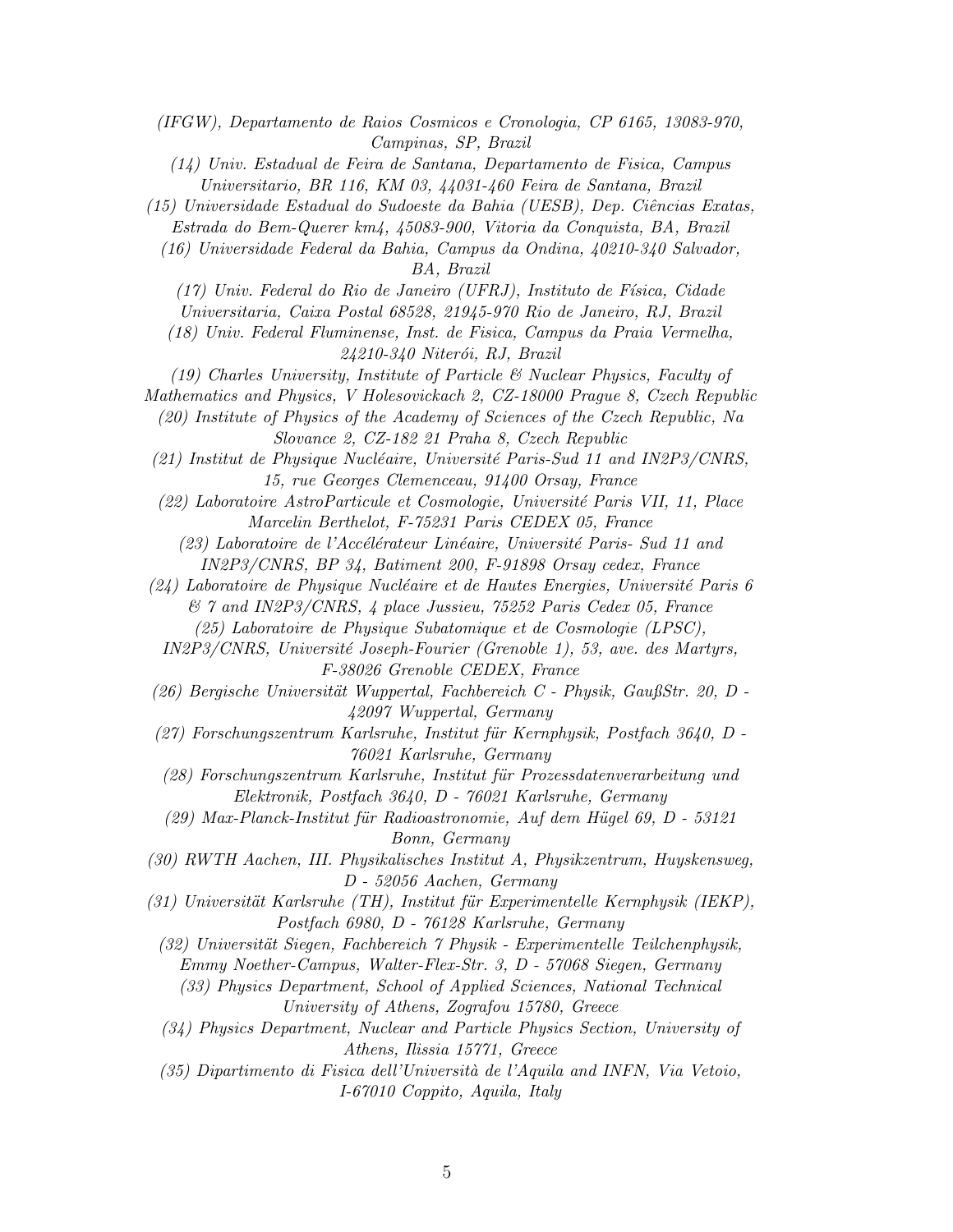(IFGW), Departamento de Raios Cosmicos e Cronologia, CP 6165, 13083-970, Campinas, SP, Brazil

(14) Univ. Estadual de Feira de Santana, Departamento de Fisica, Campus Universitario, BR 116, KM 03, 44031-460 Feira de Santana, Brazil

- (15) Universidade Estadual do Sudoeste da Bahia (UESB), Dep. Ciˆencias Exatas,
	- Estrada do Bem-Querer km4, 45083-900, Vitoria da Conquista, BA, Brazil

(16) Universidade Federal da Bahia, Campus da Ondina, 40210-340 Salvador, BA, Brazil

(17) Univ. Federal do Rio de Janeiro (UFRJ), Instituto de F´ısica, Cidade

Universitaria, Caixa Postal 68528, 21945-970 Rio de Janeiro, RJ, Brazil

(18) Univ. Federal Fluminense, Inst. de Fisica, Campus da Praia Vermelha,  $24210-340$  Niterói, RJ, Brazil

(19) Charles University, Institute of Particle & Nuclear Physics, Faculty of

Mathematics and Physics, V Holesovickach 2, CZ-18000 Prague 8, Czech Republic

(20) Institute of Physics of the Academy of Sciences of the Czech Republic, Na Slovance 2, CZ-182 21 Praha 8, Czech Republic

- (21) Institut de Physique Nucléaire, Université Paris-Sud 11 and IN2P3/CNRS, 15, rue Georges Clemenceau, 91400 Orsay, France
- (22) Laboratoire AstroParticule et Cosmologie, Universit´e Paris VII, 11, Place Marcelin Berthelot, F-75231 Paris CEDEX 05, France

(23) Laboratoire de l'Accélérateur Linéaire, Université Paris- Sud 11 and IN2P3/CNRS, BP 34, Batiment 200, F-91898 Orsay cedex, France

- $(24)$  Laboratoire de Physique Nucléaire et de Hautes Energies, Université Paris 6 & 7 and IN2P3/CNRS, 4 place Jussieu, 75252 Paris Cedex 05, France
	- (25) Laboratoire de Physique Subatomique et de Cosmologie (LPSC),

IN2P3/CNRS, Université Joseph-Fourier (Grenoble 1), 53, ave. des Martyrs, F-38026 Grenoble CEDEX, France

- $(26)$  Bergische Universität Wuppertal, Fachbereich C Physik, GaußStr. 20, D -42097 Wuppertal, Germany
- $(27)$  Forschungszentrum Karlsruhe, Institut für Kernphysik, Postfach 3640, D -76021 Karlsruhe, Germany
- (28) Forschungszentrum Karlsruhe, Institut f¨ur Prozessdatenverarbeitung und Elektronik, Postfach 3640, D - 76021 Karlsruhe, Germany

 $(29)$  Max-Planck-Institut für Radioastronomie, Auf dem Hügel 69, D - 53121 Bonn, Germany

(30) RWTH Aachen, III. Physikalisches Institut A, Physikzentrum, Huyskensweg, D - 52056 Aachen, Germany

 $(31)$  Universität Karlsruhe (TH), Institut für Experimentelle Kernphysik (IEKP), Postfach 6980, D - 76128 Karlsruhe, Germany

 $(32)$  Universität Siegen, Fachbereich  $\gamma$  Physik - Experimentelle Teilchenphysik, Emmy Noether-Campus, Walter-Flex-Str. 3, D - 57068 Siegen, Germany

- (33) Physics Department, School of Applied Sciences, National Technical University of Athens, Zografou 15780, Greece
- (34) Physics Department, Nuclear and Particle Physics Section, University of Athens, Ilissia 15771, Greece
- $(35)$  Dipartimento di Fisica dell'Università de l'Aquila and INFN, Via Vetoio, I-67010 Coppito, Aquila, Italy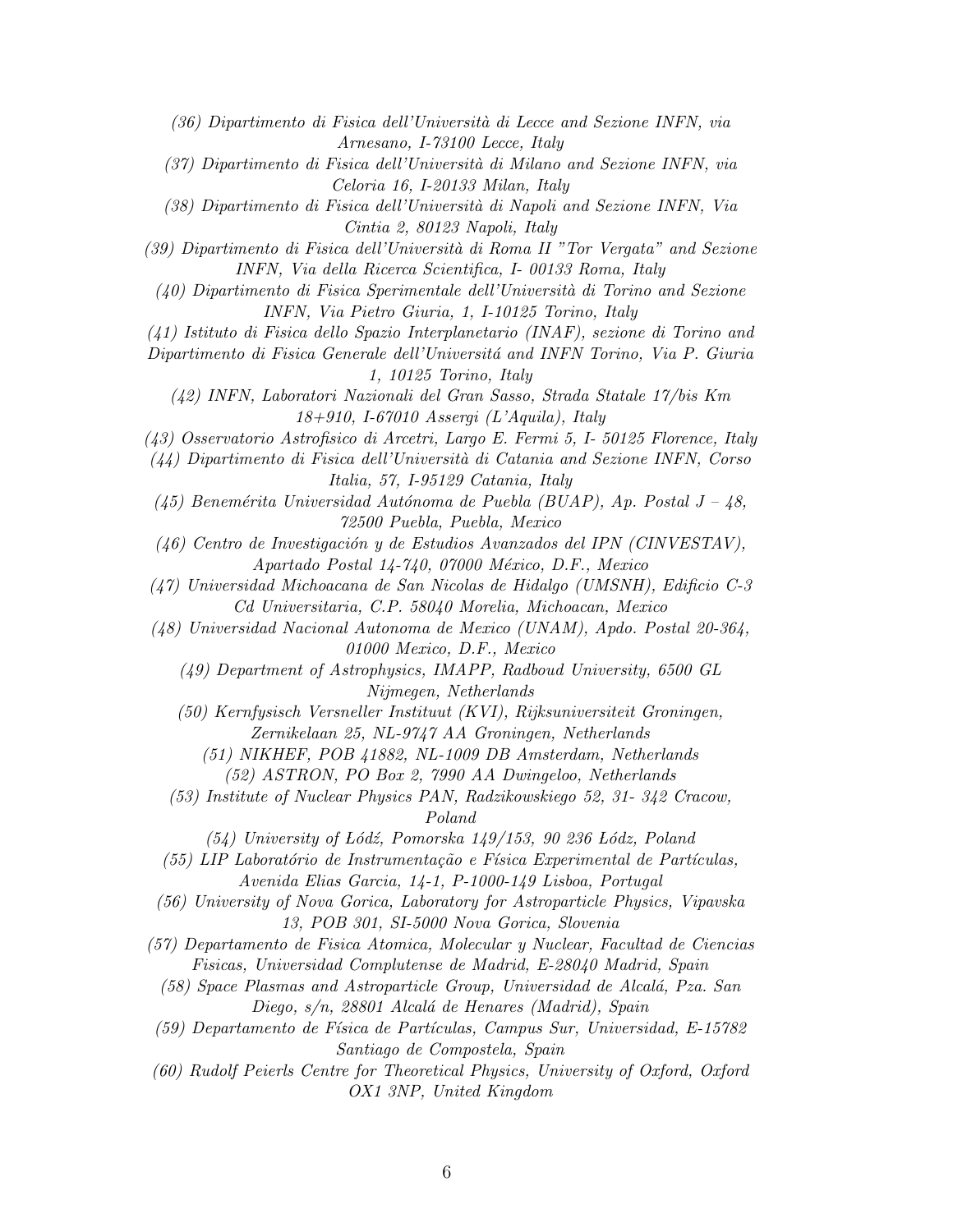(36) Dipartimento di Fisica dell'Universit`a di Lecce and Sezione INFN, via Arnesano, I-73100 Lecce, Italy

(37) Dipartimento di Fisica dell'Universit`a di Milano and Sezione INFN, via Celoria 16, I-20133 Milan, Italy

(38) Dipartimento di Fisica dell'Universit`a di Napoli and Sezione INFN, Via Cintia 2, 80123 Napoli, Italy

(39) Dipartimento di Fisica dell'Universit`a di Roma II "Tor Vergata" and Sezione INFN, Via della Ricerca Scientifica, I- 00133 Roma, Italy

 $(40)$  Dipartimento di Fisica Sperimentale dell'Università di Torino and Sezione INFN, Via Pietro Giuria, 1, I-10125 Torino, Italy

(41) Istituto di Fisica dello Spazio Interplanetario (INAF), sezione di Torino and

Dipartimento di Fisica Generale dell'Universitá and INFN Torino, Via P. Giuria 1, 10125 Torino, Italy

(42) INFN, Laboratori Nazionali del Gran Sasso, Strada Statale 17/bis Km 18+910, I-67010 Assergi (L'Aquila), Italy

(43) Osservatorio Astrofisico di Arcetri, Largo E. Fermi 5, I- 50125 Florence, Italy

 $(44)$  Dipartimento di Fisica dell'Università di Catania and Sezione INFN, Corso Italia, 57, I-95129 Catania, Italy

(45) Benemérita Universidad Autónoma de Puebla (BUAP), Ap. Postal  $J - 48$ , 72500 Puebla, Puebla, Mexico

(46) Centro de Investigación y de Estudios Avanzados del IPN (CINVESTAV),  $A$ partado Postal 14-740, 07000 México, D.F., Mexico

(47) Universidad Michoacana de San Nicolas de Hidalgo (UMSNH), Edificio C-3 Cd Universitaria, C.P. 58040 Morelia, Michoacan, Mexico

(48) Universidad Nacional Autonoma de Mexico (UNAM), Apdo. Postal 20-364, 01000 Mexico, D.F., Mexico

(49) Department of Astrophysics, IMAPP, Radboud University, 6500 GL Nijmegen, Netherlands

(50) Kernfysisch Versneller Instituut (KVI), Rijksuniversiteit Groningen, Zernikelaan 25, NL-9747 AA Groningen, Netherlands

(51) NIKHEF, POB 41882, NL-1009 DB Amsterdam, Netherlands

(52) ASTRON, PO Box 2, 7990 AA Dwingeloo, Netherlands

(53) Institute of Nuclear Physics PAN, Radzikowskiego 52, 31- 342 Cracow, Poland

 $(54)$  University of Lódź, Pomorska 149/153, 90 236 Lódz, Poland

 $(55)$  LIP Laboratório de Instrumentação e Física Experimental de Partículas, Avenida Elias Garcia, 14-1, P-1000-149 Lisboa, Portugal

(56) University of Nova Gorica, Laboratory for Astroparticle Physics, Vipavska 13, POB 301, SI-5000 Nova Gorica, Slovenia

(57) Departamento de Fisica Atomica, Molecular y Nuclear, Facultad de Ciencias Fisicas, Universidad Complutense de Madrid, E-28040 Madrid, Spain

(58) Space Plasmas and Astroparticle Group, Universidad de Alcal´a, Pza. San Diego, s/n, 28801 Alcalá de Henares (Madrid), Spain

 $(59)$  Departamento de Física de Partículas, Campus Sur, Universidad, E-15782 Santiago de Compostela, Spain

(60) Rudolf Peierls Centre for Theoretical Physics, University of Oxford, Oxford OX1 3NP, United Kingdom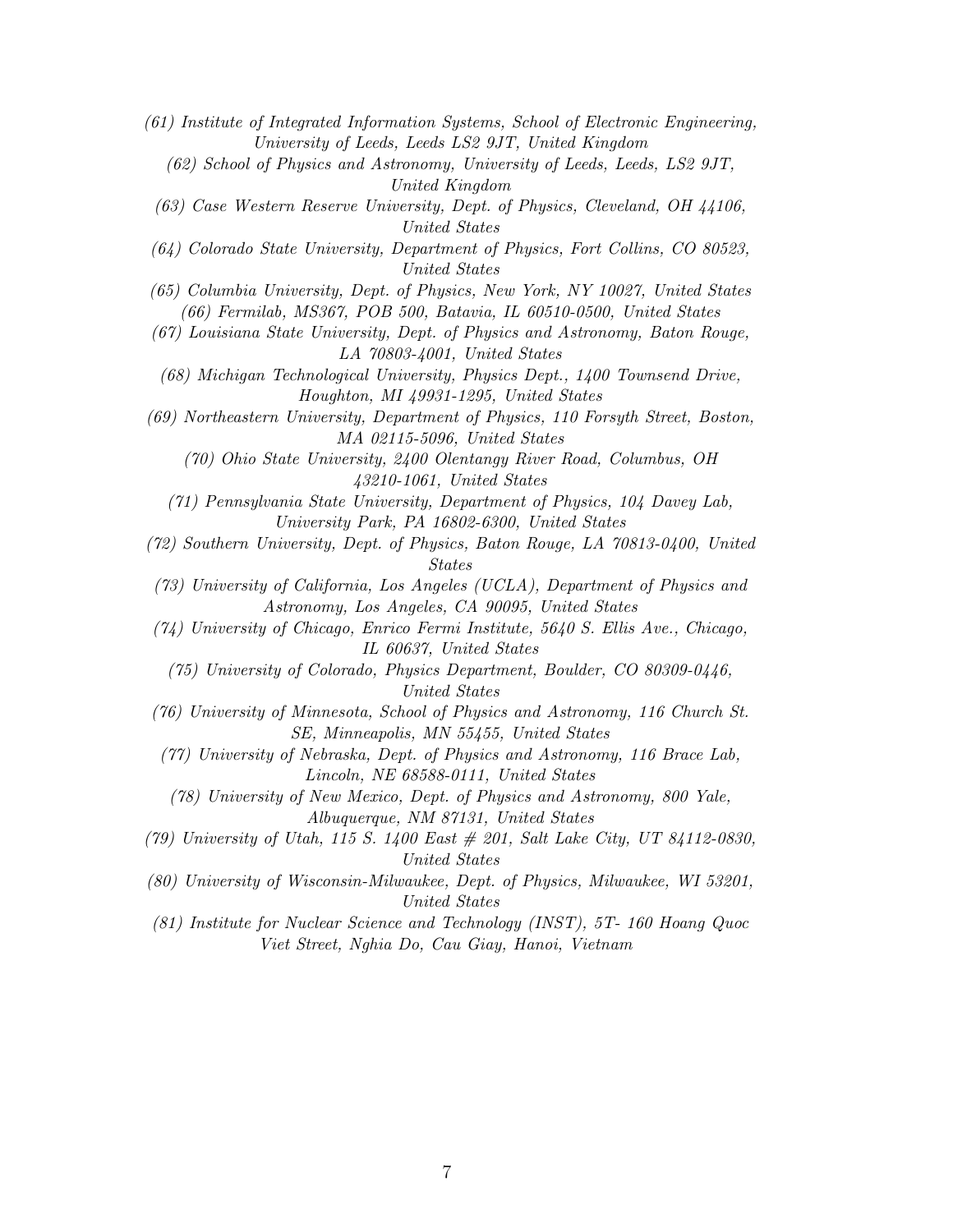- (61) Institute of Integrated Information Systems, School of Electronic Engineering, University of Leeds, Leeds LS2 9JT, United Kingdom
	- (62) School of Physics and Astronomy, University of Leeds, Leeds, LS2 9JT, United Kingdom
	- (63) Case Western Reserve University, Dept. of Physics, Cleveland, OH 44106, United States
- (64) Colorado State University, Department of Physics, Fort Collins, CO 80523, United States
- (65) Columbia University, Dept. of Physics, New York, NY 10027, United States (66) Fermilab, MS367, POB 500, Batavia, IL 60510-0500, United States
- (67) Louisiana State University, Dept. of Physics and Astronomy, Baton Rouge, LA 70803-4001, United States
- (68) Michigan Technological University, Physics Dept., 1400 Townsend Drive, Houghton, MI 49931-1295, United States
- (69) Northeastern University, Department of Physics, 110 Forsyth Street, Boston, MA 02115-5096, United States

(70) Ohio State University, 2400 Olentangy River Road, Columbus, OH 43210-1061, United States

- (71) Pennsylvania State University, Department of Physics, 104 Davey Lab, University Park, PA 16802-6300, United States
- (72) Southern University, Dept. of Physics, Baton Rouge, LA 70813-0400, United States
- (73) University of California, Los Angeles (UCLA), Department of Physics and Astronomy, Los Angeles, CA 90095, United States
- (74) University of Chicago, Enrico Fermi Institute, 5640 S. Ellis Ave., Chicago, IL 60637, United States
	- (75) University of Colorado, Physics Department, Boulder, CO 80309-0446, United States
- (76) University of Minnesota, School of Physics and Astronomy, 116 Church St. SE, Minneapolis, MN 55455, United States
- (77) University of Nebraska, Dept. of Physics and Astronomy, 116 Brace Lab, Lincoln, NE 68588-0111, United States
	- (78) University of New Mexico, Dept. of Physics and Astronomy, 800 Yale, Albuquerque, NM 87131, United States
- (79) University of Utah, 115 S. 1400 East # 201, Salt Lake City, UT 84112-0830, United States
- (80) University of Wisconsin-Milwaukee, Dept. of Physics, Milwaukee, WI 53201, United States
- (81) Institute for Nuclear Science and Technology (INST), 5T- 160 Hoang Quoc Viet Street, Nghia Do, Cau Giay, Hanoi, Vietnam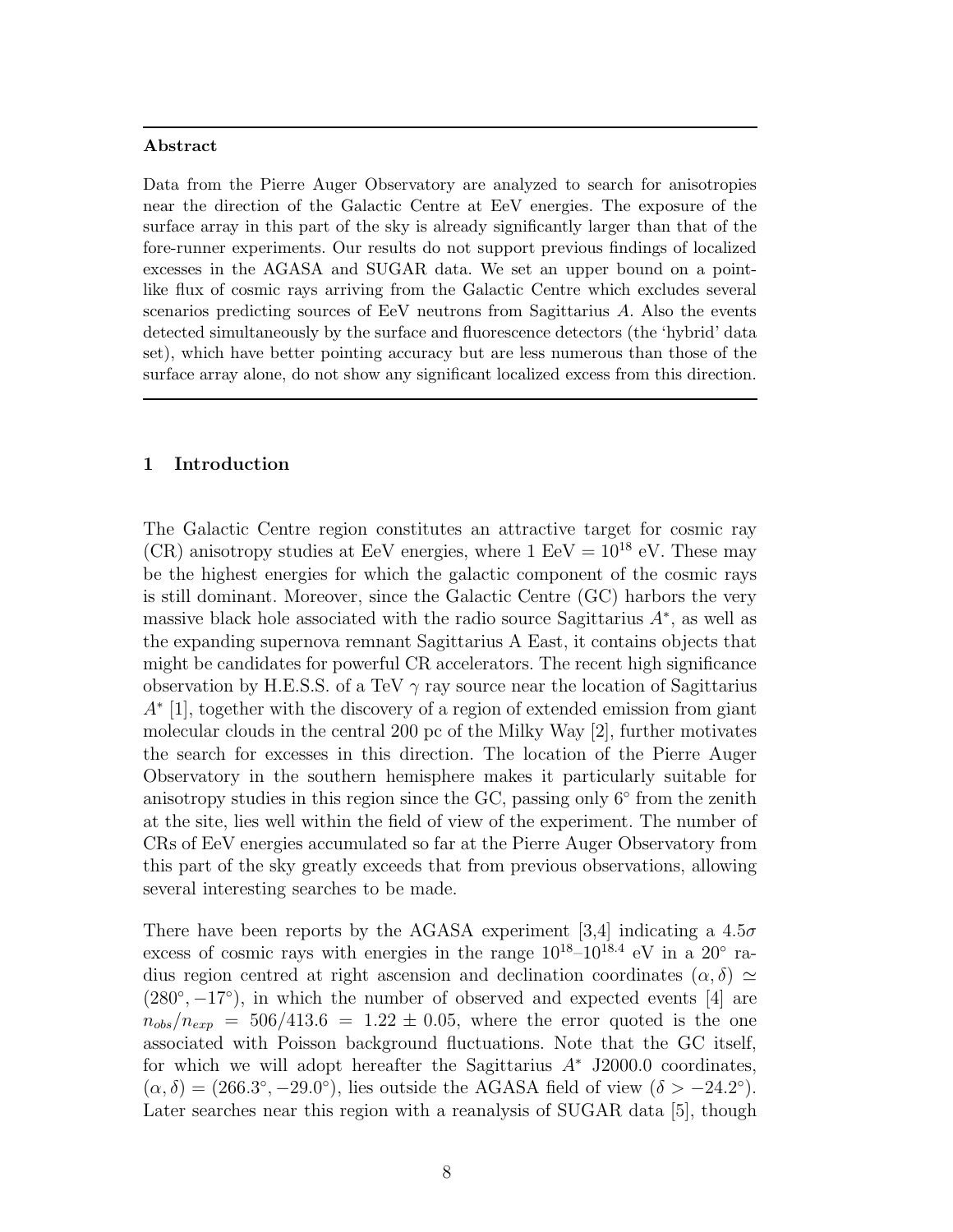#### Abstract

Data from the Pierre Auger Observatory are analyzed to search for anisotropies near the direction of the Galactic Centre at EeV energies. The exposure of the surface array in this part of the sky is already significantly larger than that of the fore-runner experiments. Our results do not support previous findings of localized excesses in the AGASA and SUGAR data. We set an upper bound on a pointlike flux of cosmic rays arriving from the Galactic Centre which excludes several scenarios predicting sources of EeV neutrons from Sagittarius A. Also the events detected simultaneously by the surface and fluorescence detectors (the 'hybrid' data set), which have better pointing accuracy but are less numerous than those of the surface array alone, do not show any significant localized excess from this direction.

## 1 Introduction

The Galactic Centre region constitutes an attractive target for cosmic ray (CR) anisotropy studies at EeV energies, where  $1 \text{ EeV} = 10^{18} \text{ eV}$ . These may be the highest energies for which the galactic component of the cosmic rays is still dominant. Moreover, since the Galactic Centre (GC) harbors the very massive black hole associated with the radio source Sagittarius  $A^*$ , as well as the expanding supernova remnant Sagittarius A East, it contains objects that might be candidates for powerful CR accelerators. The recent high significance observation by H.E.S.S. of a TeV  $\gamma$  ray source near the location of Sagittarius A∗ [1], together with the discovery of a region of extended emission from giant molecular clouds in the central 200 pc of the Milky Way [2], further motivates the search for excesses in this direction. The location of the Pierre Auger Observatory in the southern hemisphere makes it particularly suitable for anisotropy studies in this region since the GC, passing only 6° from the zenith at the site, lies well within the field of view of the experiment. The number of CRs of EeV energies accumulated so far at the Pierre Auger Observatory from this part of the sky greatly exceeds that from previous observations, allowing several interesting searches to be made.

There have been reports by the AGASA experiment [3,4] indicating a  $4.5\sigma$ excess of cosmic rays with energies in the range  $10^{18} - 10^{18.4}$  eV in a  $20^{\circ}$  radius region centred at right ascension and declination coordinates  $(\alpha, \delta) \simeq$  $(280°, -17°)$ , in which the number of observed and expected events [4] are  $n_{obs}/n_{exp} = 506/413.6 = 1.22 \pm 0.05$ , where the error quoted is the one associated with Poisson background fluctuations. Note that the GC itself, for which we will adopt hereafter the Sagittarius A<sup>∗</sup> J2000.0 coordinates,  $(\alpha, \delta) = (266.3^{\circ}, -29.0^{\circ}),$  lies outside the AGASA field of view  $(\delta > -24.2^{\circ}).$ Later searches near this region with a reanalysis of SUGAR data [5], though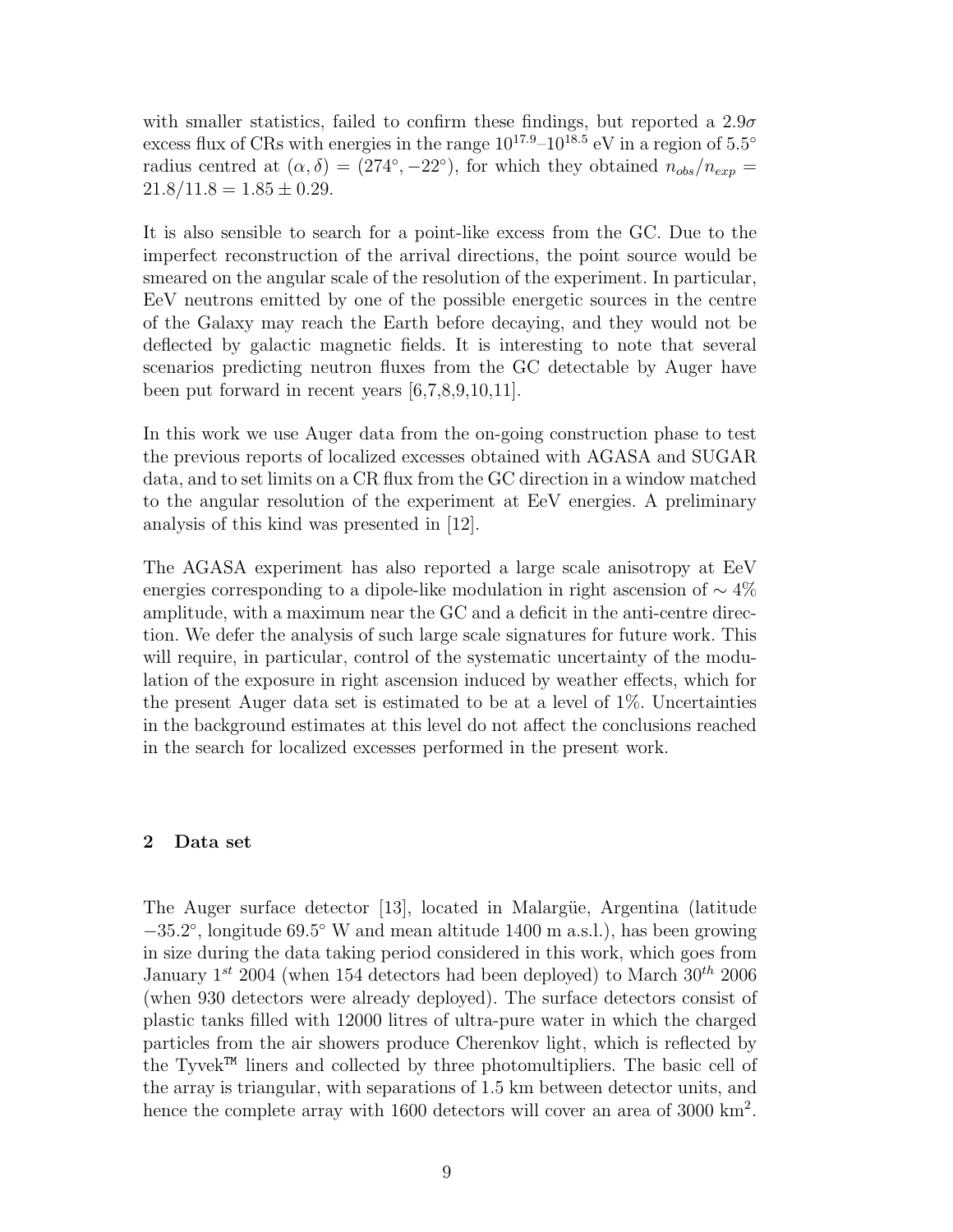with smaller statistics, failed to confirm these findings, but reported a  $2.9\sigma$ excess flux of CRs with energies in the range  $10^{17.9} - 10^{18.5}$  eV in a region of  $5.5^{\circ}$ radius centred at  $(\alpha, \delta) = (274^{\circ}, -22^{\circ})$ , for which they obtained  $n_{obs}/n_{exp} =$  $21.8/11.8 = 1.85 \pm 0.29.$ 

It is also sensible to search for a point-like excess from the GC. Due to the imperfect reconstruction of the arrival directions, the point source would be smeared on the angular scale of the resolution of the experiment. In particular, EeV neutrons emitted by one of the possible energetic sources in the centre of the Galaxy may reach the Earth before decaying, and they would not be deflected by galactic magnetic fields. It is interesting to note that several scenarios predicting neutron fluxes from the GC detectable by Auger have been put forward in recent years [6,7,8,9,10,11].

In this work we use Auger data from the on-going construction phase to test the previous reports of localized excesses obtained with AGASA and SUGAR data, and to set limits on a CR flux from the GC direction in a window matched to the angular resolution of the experiment at EeV energies. A preliminary analysis of this kind was presented in [12].

The AGASA experiment has also reported a large scale anisotropy at EeV energies corresponding to a dipole-like modulation in right ascension of  $\sim$  4% amplitude, with a maximum near the GC and a deficit in the anti-centre direction. We defer the analysis of such large scale signatures for future work. This will require, in particular, control of the systematic uncertainty of the modulation of the exposure in right ascension induced by weather effects, which for the present Auger data set is estimated to be at a level of 1%. Uncertainties in the background estimates at this level do not affect the conclusions reached in the search for localized excesses performed in the present work.

## 2 Data set

The Auger surface detector [13], located in Malargüe, Argentina (latitude −35.2 ◦ , longitude 69.5 ◦ W and mean altitude 1400 m a.s.l.), has been growing in size during the data taking period considered in this work, which goes from January  $1^{st}$  2004 (when 154 detectors had been deployed) to March  $30^{th}$  2006 (when 930 detectors were already deployed). The surface detectors consist of plastic tanks filled with 12000 litres of ultra-pure water in which the charged particles from the air showers produce Cherenkov light, which is reflected by the Tyvek<sup> $TM$ </sup> liners and collected by three photomultipliers. The basic cell of the array is triangular, with separations of 1.5 km between detector units, and hence the complete array with 1600 detectors will cover an area of 3000 km<sup>2</sup>.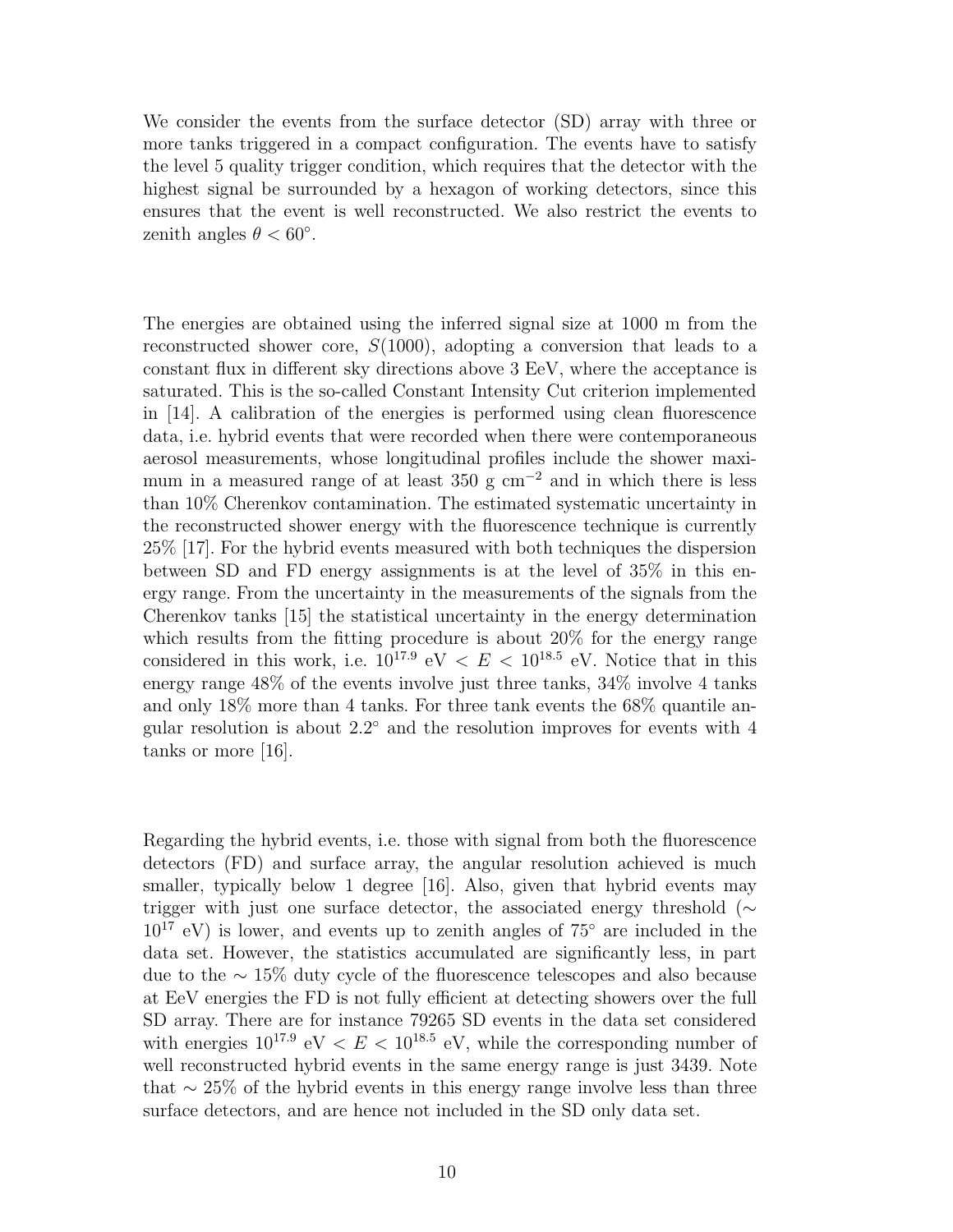We consider the events from the surface detector (SD) array with three or more tanks triggered in a compact configuration. The events have to satisfy the level 5 quality trigger condition, which requires that the detector with the highest signal be surrounded by a hexagon of working detectors, since this ensures that the event is well reconstructed. We also restrict the events to zenith angles  $\theta < 60^{\circ}$ .

The energies are obtained using the inferred signal size at 1000 m from the reconstructed shower core,  $S(1000)$ , adopting a conversion that leads to a constant flux in different sky directions above 3 EeV, where the acceptance is saturated. This is the so-called Constant Intensity Cut criterion implemented in [14]. A calibration of the energies is performed using clean fluorescence data, i.e. hybrid events that were recorded when there were contemporaneous aerosol measurements, whose longitudinal profiles include the shower maximum in a measured range of at least 350 g  $cm^{-2}$  and in which there is less than 10% Cherenkov contamination. The estimated systematic uncertainty in the reconstructed shower energy with the fluorescence technique is currently 25% [17]. For the hybrid events measured with both techniques the dispersion between SD and FD energy assignments is at the level of 35% in this energy range. From the uncertainty in the measurements of the signals from the Cherenkov tanks [15] the statistical uncertainty in the energy determination which results from the fitting procedure is about 20% for the energy range considered in this work, i.e.  $10^{17.9}$  eV  $\lt E \lt 10^{18.5}$  eV. Notice that in this energy range 48% of the events involve just three tanks, 34% involve 4 tanks and only 18% more than 4 tanks. For three tank events the 68% quantile angular resolution is about  $2.2^{\circ}$  and the resolution improves for events with 4 tanks or more [16].

Regarding the hybrid events, i.e. those with signal from both the fluorescence detectors (FD) and surface array, the angular resolution achieved is much smaller, typically below 1 degree [16]. Also, given that hybrid events may trigger with just one surface detector, the associated energy threshold (∼  $10^{17}$  eV) is lower, and events up to zenith angles of  $75^{\circ}$  are included in the data set. However, the statistics accumulated are significantly less, in part due to the ∼ 15% duty cycle of the fluorescence telescopes and also because at EeV energies the FD is not fully efficient at detecting showers over the full SD array. There are for instance 79265 SD events in the data set considered with energies  $10^{17.9}$  eV  $\lt E \lt 10^{18.5}$  eV, while the corresponding number of well reconstructed hybrid events in the same energy range is just 3439. Note that  $\sim$  25% of the hybrid events in this energy range involve less than three surface detectors, and are hence not included in the SD only data set.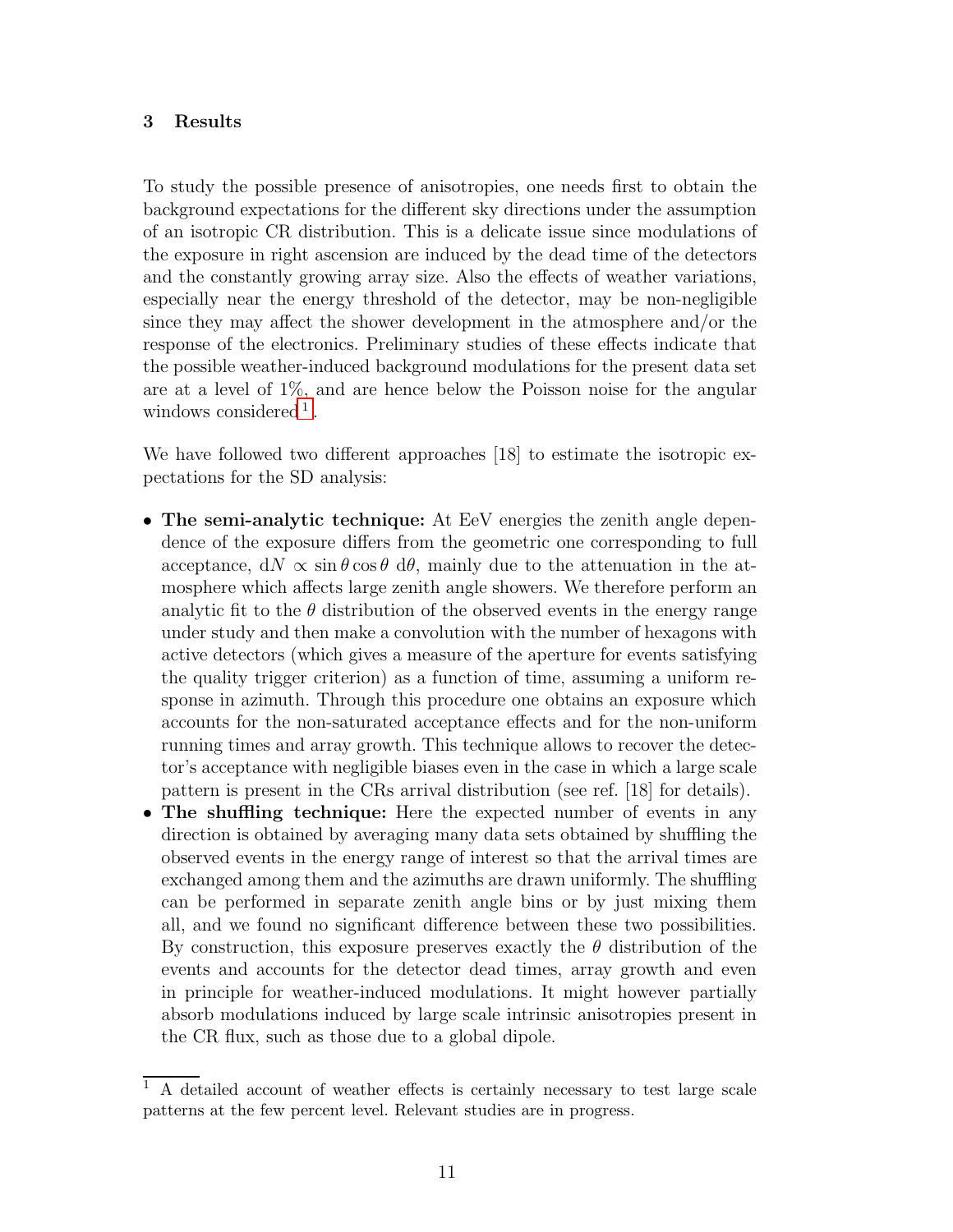# 3 Results

To study the possible presence of anisotropies, one needs first to obtain the background expectations for the different sky directions under the assumption of an isotropic CR distribution. This is a delicate issue since modulations of the exposure in right ascension are induced by the dead time of the detectors and the constantly growing array size. Also the effects of weather variations, especially near the energy threshold of the detector, may be non-negligible since they may affect the shower development in the atmosphere and/or the response of the electronics. Preliminary studies of these effects indicate that the possible weather-induced background modulations for the present data set are at a level of 1%, and are hence below the Poisson noise for the angular windows considered<sup>[1](#page-10-0)</sup>.

We have followed two different approaches [18] to estimate the isotropic expectations for the SD analysis:

- The semi-analytic technique: At EeV energies the zenith angle dependence of the exposure differs from the geometric one corresponding to full acceptance,  $dN \propto \sin \theta \cos \theta \ d\theta$ , mainly due to the attenuation in the atmosphere which affects large zenith angle showers. We therefore perform an analytic fit to the  $\theta$  distribution of the observed events in the energy range under study and then make a convolution with the number of hexagons with active detectors (which gives a measure of the aperture for events satisfying the quality trigger criterion) as a function of time, assuming a uniform response in azimuth. Through this procedure one obtains an exposure which accounts for the non-saturated acceptance effects and for the non-uniform running times and array growth. This technique allows to recover the detector's acceptance with negligible biases even in the case in which a large scale pattern is present in the CRs arrival distribution (see ref. [18] for details).
- The shuffling technique: Here the expected number of events in any direction is obtained by averaging many data sets obtained by shuffling the observed events in the energy range of interest so that the arrival times are exchanged among them and the azimuths are drawn uniformly. The shuffling can be performed in separate zenith angle bins or by just mixing them all, and we found no significant difference between these two possibilities. By construction, this exposure preserves exactly the  $\theta$  distribution of the events and accounts for the detector dead times, array growth and even in principle for weather-induced modulations. It might however partially absorb modulations induced by large scale intrinsic anisotropies present in the CR flux, such as those due to a global dipole.

<span id="page-10-0"></span><sup>1</sup> A detailed account of weather effects is certainly necessary to test large scale patterns at the few percent level. Relevant studies are in progress.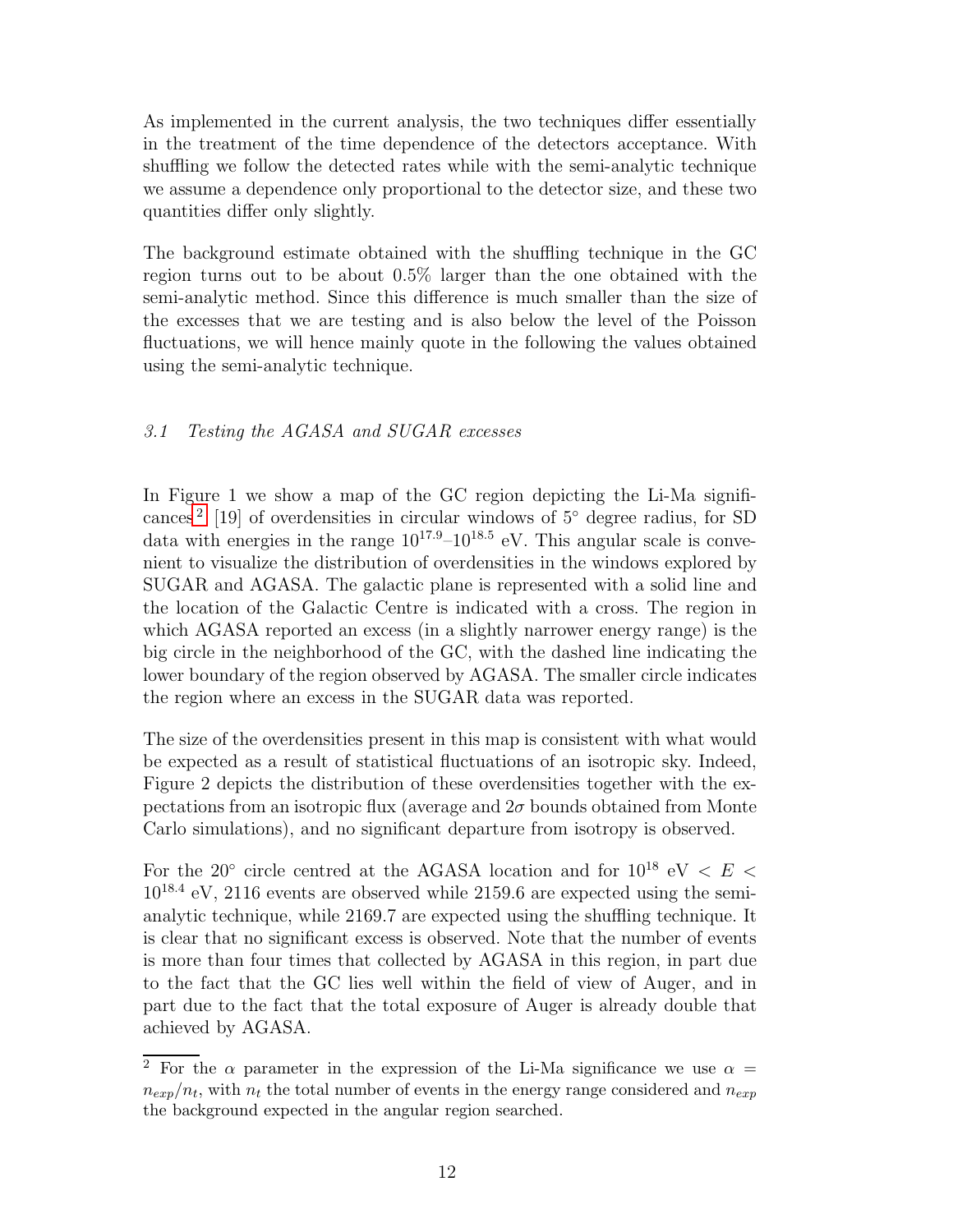As implemented in the current analysis, the two techniques differ essentially in the treatment of the time dependence of the detectors acceptance. With shuffling we follow the detected rates while with the semi-analytic technique we assume a dependence only proportional to the detector size, and these two quantities differ only slightly.

The background estimate obtained with the shuffling technique in the GC region turns out to be about 0.5% larger than the one obtained with the semi-analytic method. Since this difference is much smaller than the size of the excesses that we are testing and is also below the level of the Poisson fluctuations, we will hence mainly quote in the following the values obtained using the semi-analytic technique.

# 3.1 Testing the AGASA and SUGAR excesses

In Figure 1 we show a map of the GC region depicting the Li-Ma signifi-cances<sup>[2](#page-11-0)</sup> [19] of overdensities in circular windows of 5° degree radius, for SD data with energies in the range  $10^{17.9} - 10^{18.5}$  eV. This angular scale is convenient to visualize the distribution of overdensities in the windows explored by SUGAR and AGASA. The galactic plane is represented with a solid line and the location of the Galactic Centre is indicated with a cross. The region in which AGASA reported an excess (in a slightly narrower energy range) is the big circle in the neighborhood of the GC, with the dashed line indicating the lower boundary of the region observed by AGASA. The smaller circle indicates the region where an excess in the SUGAR data was reported.

The size of the overdensities present in this map is consistent with what would be expected as a result of statistical fluctuations of an isotropic sky. Indeed, Figure 2 depicts the distribution of these overdensities together with the expectations from an isotropic flux (average and  $2\sigma$  bounds obtained from Monte Carlo simulations), and no significant departure from isotropy is observed.

For the 20 $^{\circ}$  circle centred at the AGASA location and for 10<sup>18</sup> eV < E < 10<sup>18</sup>.<sup>4</sup> eV, 2116 events are observed while 2159.6 are expected using the semianalytic technique, while 2169.7 are expected using the shuffling technique. It is clear that no significant excess is observed. Note that the number of events is more than four times that collected by AGASA in this region, in part due to the fact that the GC lies well within the field of view of Auger, and in part due to the fact that the total exposure of Auger is already double that achieved by AGASA.

<span id="page-11-0"></span><sup>&</sup>lt;sup>2</sup> For the  $\alpha$  parameter in the expression of the Li-Ma significance we use  $\alpha =$  $n_{exp}/n_t$ , with  $n_t$  the total number of events in the energy range considered and  $n_{exp}$ the background expected in the angular region searched.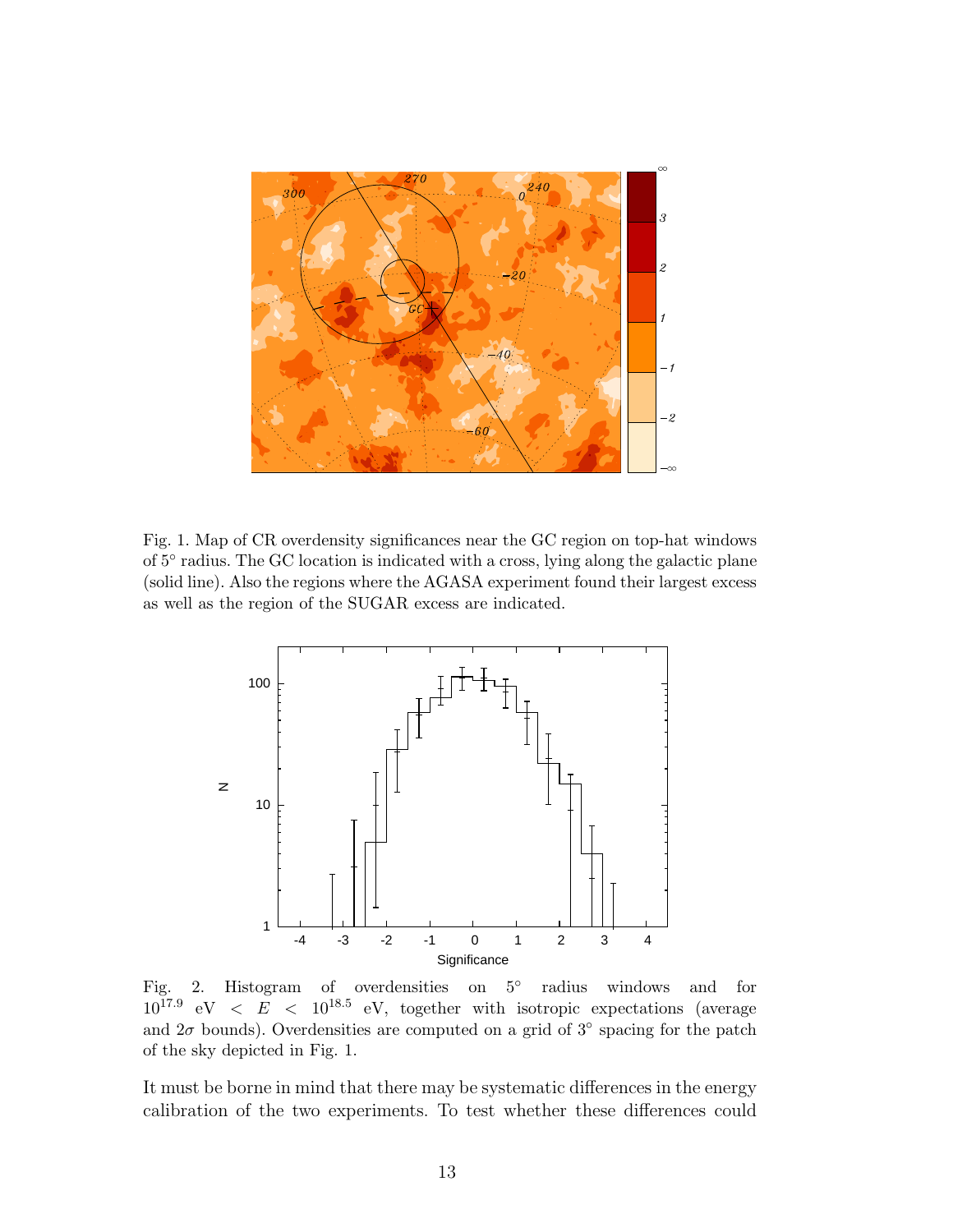

Fig. 1. Map of CR overdensity significances near the GC region on top-hat windows of  $5^{\circ}$  radius. The GC location is indicated with a cross, lying along the galactic plane (solid line). Also the regions where the AGASA experiment found their largest excess as well as the region of the SUGAR excess are indicated.



Fig. 2. Histogram of overdensities on  $5^\circ$  radius windows and for  $10^{17.9}$  eV  $\lt E \lt 10^{18.5}$  eV, together with isotropic expectations (average and  $2\sigma$  bounds). Overdensities are computed on a grid of  $3°$  spacing for the patch of the sky depicted in Fig. 1.

It must be borne in mind that there may be systematic differences in the energy calibration of the two experiments. To test whether these differences could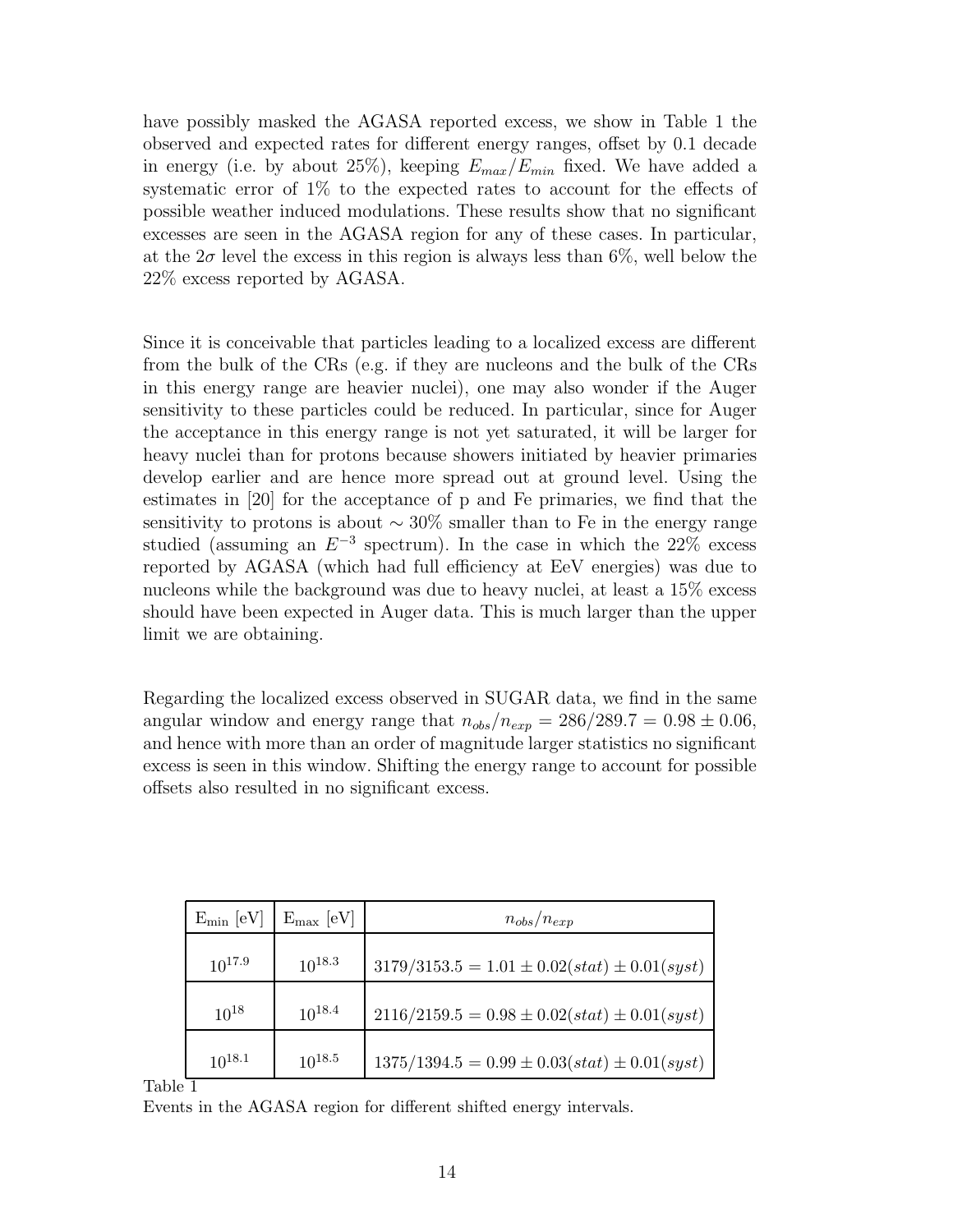have possibly masked the AGASA reported excess, we show in Table 1 the observed and expected rates for different energy ranges, offset by 0.1 decade in energy (i.e. by about 25%), keeping  $E_{max}/E_{min}$  fixed. We have added a systematic error of 1% to the expected rates to account for the effects of possible weather induced modulations. These results show that no significant excesses are seen in the AGASA region for any of these cases. In particular, at the  $2\sigma$  level the excess in this region is always less than 6%, well below the 22% excess reported by AGASA.

Since it is conceivable that particles leading to a localized excess are different from the bulk of the CRs (e.g. if they are nucleons and the bulk of the CRs in this energy range are heavier nuclei), one may also wonder if the Auger sensitivity to these particles could be reduced. In particular, since for Auger the acceptance in this energy range is not yet saturated, it will be larger for heavy nuclei than for protons because showers initiated by heavier primaries develop earlier and are hence more spread out at ground level. Using the estimates in [20] for the acceptance of p and Fe primaries, we find that the sensitivity to protons is about  $\sim 30\%$  smaller than to Fe in the energy range studied (assuming an  $E^{-3}$  spectrum). In the case in which the 22% excess reported by AGASA (which had full efficiency at EeV energies) was due to nucleons while the background was due to heavy nuclei, at least a 15% excess should have been expected in Auger data. This is much larger than the upper limit we are obtaining.

Regarding the localized excess observed in SUGAR data, we find in the same angular window and energy range that  $n_{obs}/n_{exp} = 286/289.7 = 0.98 \pm 0.06$ , and hence with more than an order of magnitude larger statistics no significant excess is seen in this window. Shifting the energy range to account for possible offsets also resulted in no significant excess.

| $E_{\min}$ [eV] | $E_{\text{max}}$ [eV] | $n_{obs}/n_{exp}$                                  |
|-----------------|-----------------------|----------------------------------------------------|
| $10^{17.9}$     | $10^{18.3}$           | $3179/3153.5 = 1.01 \pm 0.02(stat) \pm 0.01(syst)$ |
| $10^{18}$       | $10^{18.4}$           | $2116/2159.5 = 0.98 \pm 0.02(stat) \pm 0.01(syst)$ |
| $10^{18.1}$     | $10^{18.5}$           | $1375/1394.5 = 0.99 \pm 0.03(stat) \pm 0.01(syst)$ |

Table 1

Events in the AGASA region for different shifted energy intervals.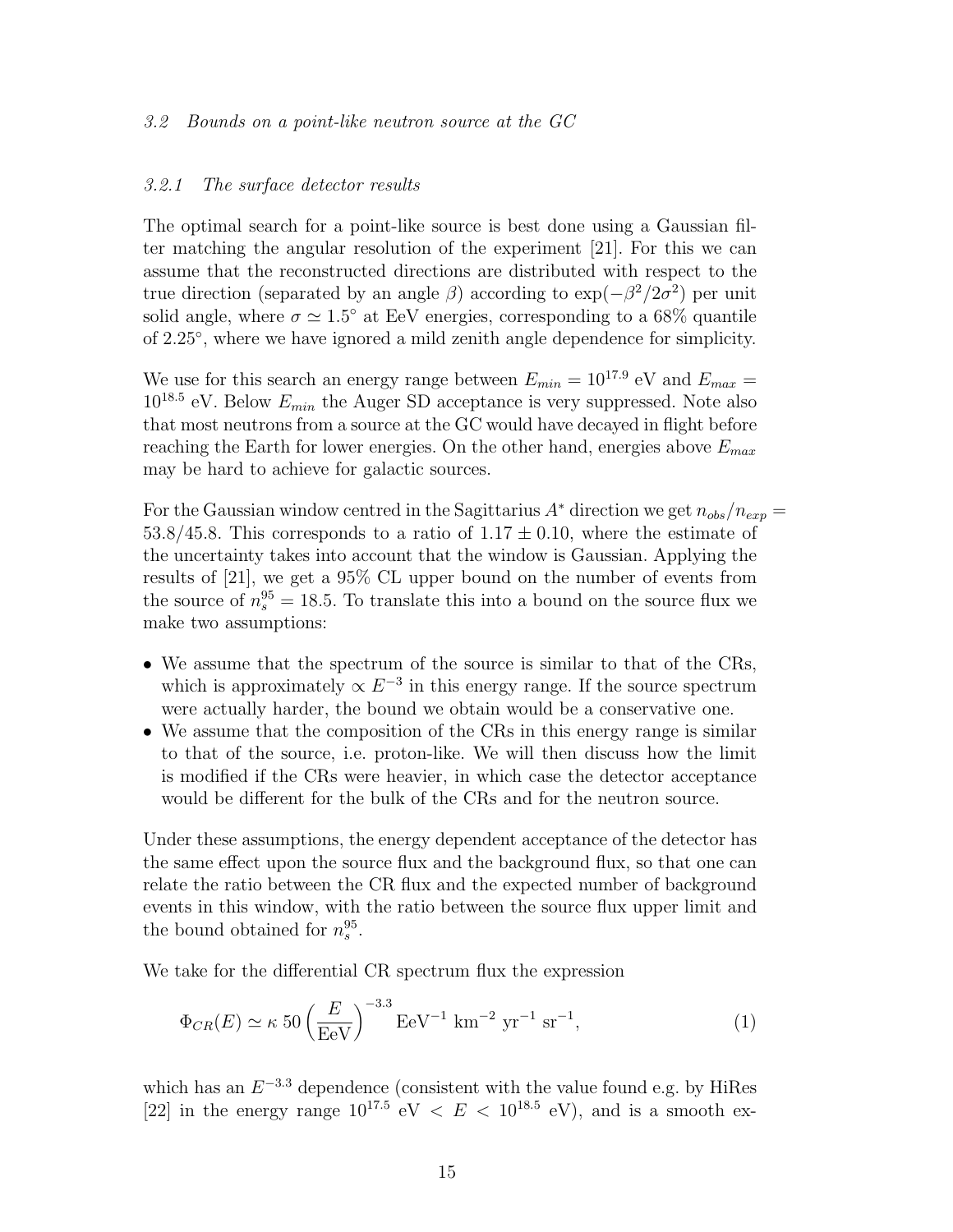#### 3.2 Bounds on a point-like neutron source at the GC

#### 3.2.1 The surface detector results

The optimal search for a point-like source is best done using a Gaussian filter matching the angular resolution of the experiment [21]. For this we can assume that the reconstructed directions are distributed with respect to the true direction (separated by an angle  $\beta$ ) according to  $\exp(-\beta^2/2\sigma^2)$  per unit solid angle, where  $\sigma \simeq 1.5^{\circ}$  at EeV energies, corresponding to a 68% quantile of 2.25◦ , where we have ignored a mild zenith angle dependence for simplicity.

We use for this search an energy range between  $E_{min} = 10^{17.9}$  eV and  $E_{max} =$  $10^{18.5}$  eV. Below  $E_{min}$  the Auger SD acceptance is very suppressed. Note also that most neutrons from a source at the GC would have decayed in flight before reaching the Earth for lower energies. On the other hand, energies above  $E_{max}$ may be hard to achieve for galactic sources.

For the Gaussian window centred in the Sagittarius A<sup>\*</sup> direction we get  $n_{obs}/n_{exp} =$ 53.8/45.8. This corresponds to a ratio of  $1.17 \pm 0.10$ , where the estimate of the uncertainty takes into account that the window is Gaussian. Applying the results of [21], we get a 95% CL upper bound on the number of events from the source of  $n_s^{95} = 18.5$ . To translate this into a bound on the source flux we make two assumptions:

- We assume that the spectrum of the source is similar to that of the CRs, which is approximately  $\propto E^{-3}$  in this energy range. If the source spectrum were actually harder, the bound we obtain would be a conservative one.
- We assume that the composition of the CRs in this energy range is similar to that of the source, i.e. proton-like. We will then discuss how the limit is modified if the CRs were heavier, in which case the detector acceptance would be different for the bulk of the CRs and for the neutron source.

Under these assumptions, the energy dependent acceptance of the detector has the same effect upon the source flux and the background flux, so that one can relate the ratio between the CR flux and the expected number of background events in this window, with the ratio between the source flux upper limit and the bound obtained for  $n_s^{95}$  $_s^{\rm 95}.$ 

We take for the differential CR spectrum flux the expression

$$
\Phi_{CR}(E) \simeq \kappa 50 \left(\frac{E}{\text{EeV}}\right)^{-3.3} \text{EeV}^{-1} \text{ km}^{-2} \text{ yr}^{-1} \text{ sr}^{-1},
$$
\n(1)

which has an  $E^{-3.3}$  dependence (consistent with the value found e.g. by HiRes [22] in the energy range  $10^{17.5}$  eV  $\langle E \times 10^{18.5}$  eV), and is a smooth ex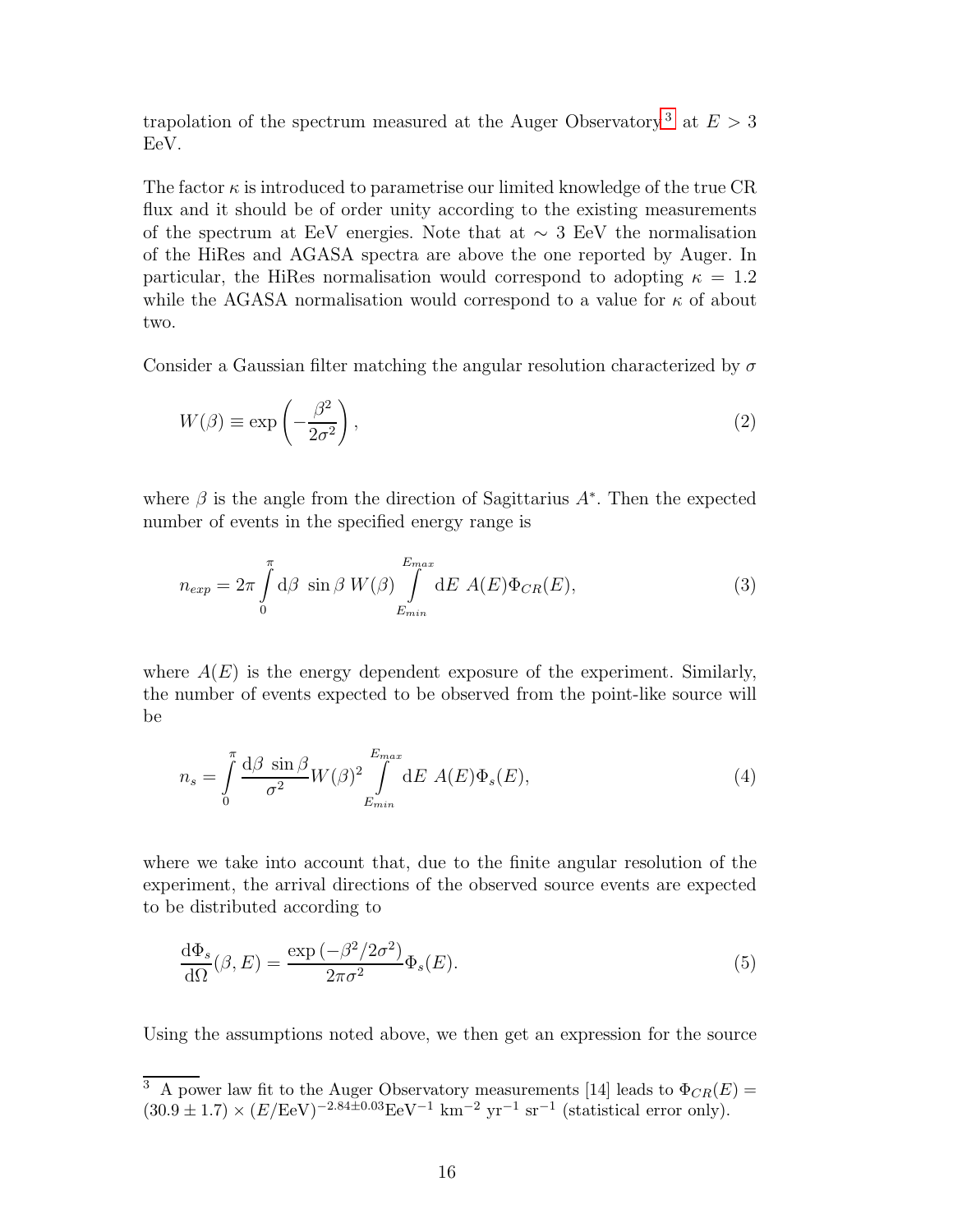trapolation of the spectrum measured at the Auger Observatory<sup>[3](#page-15-0)</sup> at  $E > 3$ EeV.

The factor  $\kappa$  is introduced to parametrise our limited knowledge of the true CR flux and it should be of order unity according to the existing measurements of the spectrum at EeV energies. Note that at  $\sim 3$  EeV the normalisation of the HiRes and AGASA spectra are above the one reported by Auger. In particular, the HiRes normalisation would correspond to adopting  $\kappa = 1.2$ while the AGASA normalisation would correspond to a value for  $\kappa$  of about two.

Consider a Gaussian filter matching the angular resolution characterized by  $\sigma$ 

$$
W(\beta) \equiv \exp\left(-\frac{\beta^2}{2\sigma^2}\right),\tag{2}
$$

where  $\beta$  is the angle from the direction of Sagittarius  $A^*$ . Then the expected number of events in the specified energy range is

$$
n_{exp} = 2\pi \int_{0}^{\pi} d\beta \sin \beta W(\beta) \int_{E_{min}}^{E_{max}} dE A(E) \Phi_{CR}(E),
$$
\n(3)

where  $A(E)$  is the energy dependent exposure of the experiment. Similarly, the number of events expected to be observed from the point-like source will be

$$
n_s = \int_0^{\pi} \frac{\mathrm{d}\beta \, \sin \beta}{\sigma^2} W(\beta)^2 \int_{E_{min}}^{E_{max}} \mathrm{d}E \, A(E) \Phi_s(E), \tag{4}
$$

where we take into account that, due to the finite angular resolution of the experiment, the arrival directions of the observed source events are expected to be distributed according to

$$
\frac{\mathrm{d}\Phi_s}{\mathrm{d}\Omega}(\beta, E) = \frac{\exp\left(-\beta^2/2\sigma^2\right)}{2\pi\sigma^2} \Phi_s(E). \tag{5}
$$

Using the assumptions noted above, we then get an expression for the source

<span id="page-15-0"></span><sup>&</sup>lt;sup>3</sup> A power law fit to the Auger Observatory measurements [14] leads to  $\Phi_{CR}(E)$  =  $(30.9 \pm 1.7) \times (E/\text{EeV})^{-2.84 \pm 0.03} \text{EeV}^{-1} \text{ km}^{-2} \text{ yr}^{-1} \text{ sr}^{-1}$  (statistical error only).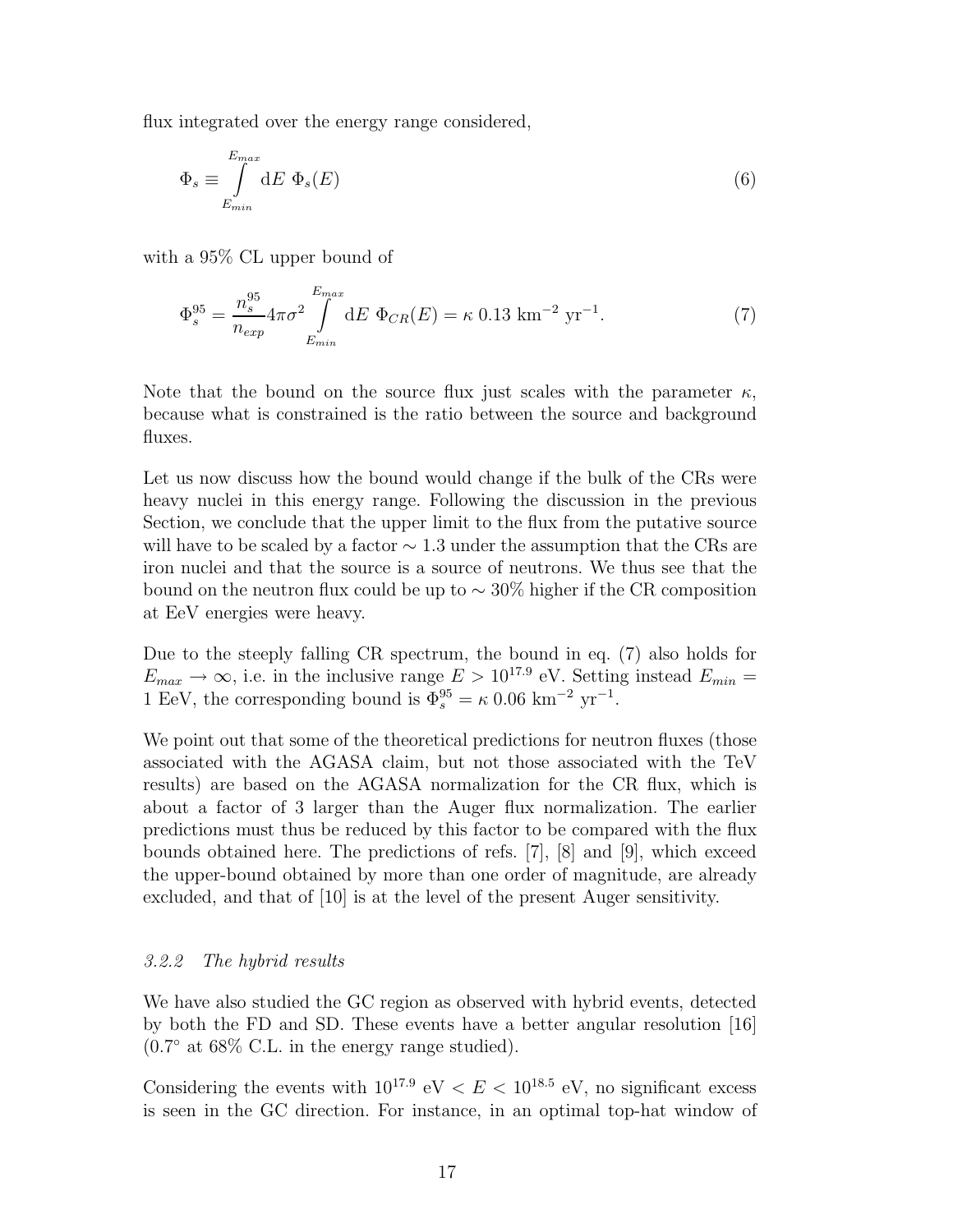flux integrated over the energy range considered,

$$
\Phi_s \equiv \int_{E_{min}}^{E_{max}} dE \, \Phi_s(E) \tag{6}
$$

with a 95% CL upper bound of

$$
\Phi_s^{95} = \frac{n_s^{95}}{n_{exp}} 4\pi \sigma^2 \int_{E_{min}}^{E_{max}} dE \ \Phi_{CR}(E) = \kappa \ 0.13 \ \text{km}^{-2} \ \text{yr}^{-1}.
$$
 (7)

Note that the bound on the source flux just scales with the parameter  $\kappa$ , because what is constrained is the ratio between the source and background fluxes.

Let us now discuss how the bound would change if the bulk of the CRs were heavy nuclei in this energy range. Following the discussion in the previous Section, we conclude that the upper limit to the flux from the putative source will have to be scaled by a factor  $\sim$  1.3 under the assumption that the CRs are iron nuclei and that the source is a source of neutrons. We thus see that the bound on the neutron flux could be up to  $\sim 30\%$  higher if the CR composition at EeV energies were heavy.

Due to the steeply falling CR spectrum, the bound in eq. (7) also holds for  $E_{max} \rightarrow \infty$ , i.e. in the inclusive range  $E > 10^{17.9}$  eV. Setting instead  $E_{min} =$ 1 EeV, the corresponding bound is  $\Phi_s^{95} = \kappa \ 0.06 \ \text{km}^{-2} \ \text{yr}^{-1}$ .

We point out that some of the theoretical predictions for neutron fluxes (those associated with the AGASA claim, but not those associated with the TeV results) are based on the AGASA normalization for the CR flux, which is about a factor of 3 larger than the Auger flux normalization. The earlier predictions must thus be reduced by this factor to be compared with the flux bounds obtained here. The predictions of refs. [7], [8] and [9], which exceed the upper-bound obtained by more than one order of magnitude, are already excluded, and that of [10] is at the level of the present Auger sensitivity.

## 3.2.2 The hybrid results

We have also studied the GC region as observed with hybrid events, detected by both the FD and SD. These events have a better angular resolution [16] (0.7 ◦ at 68% C.L. in the energy range studied).

Considering the events with  $10^{17.9}$  eV  $\lt E \lt 10^{18.5}$  eV, no significant excess is seen in the GC direction. For instance, in an optimal top-hat window of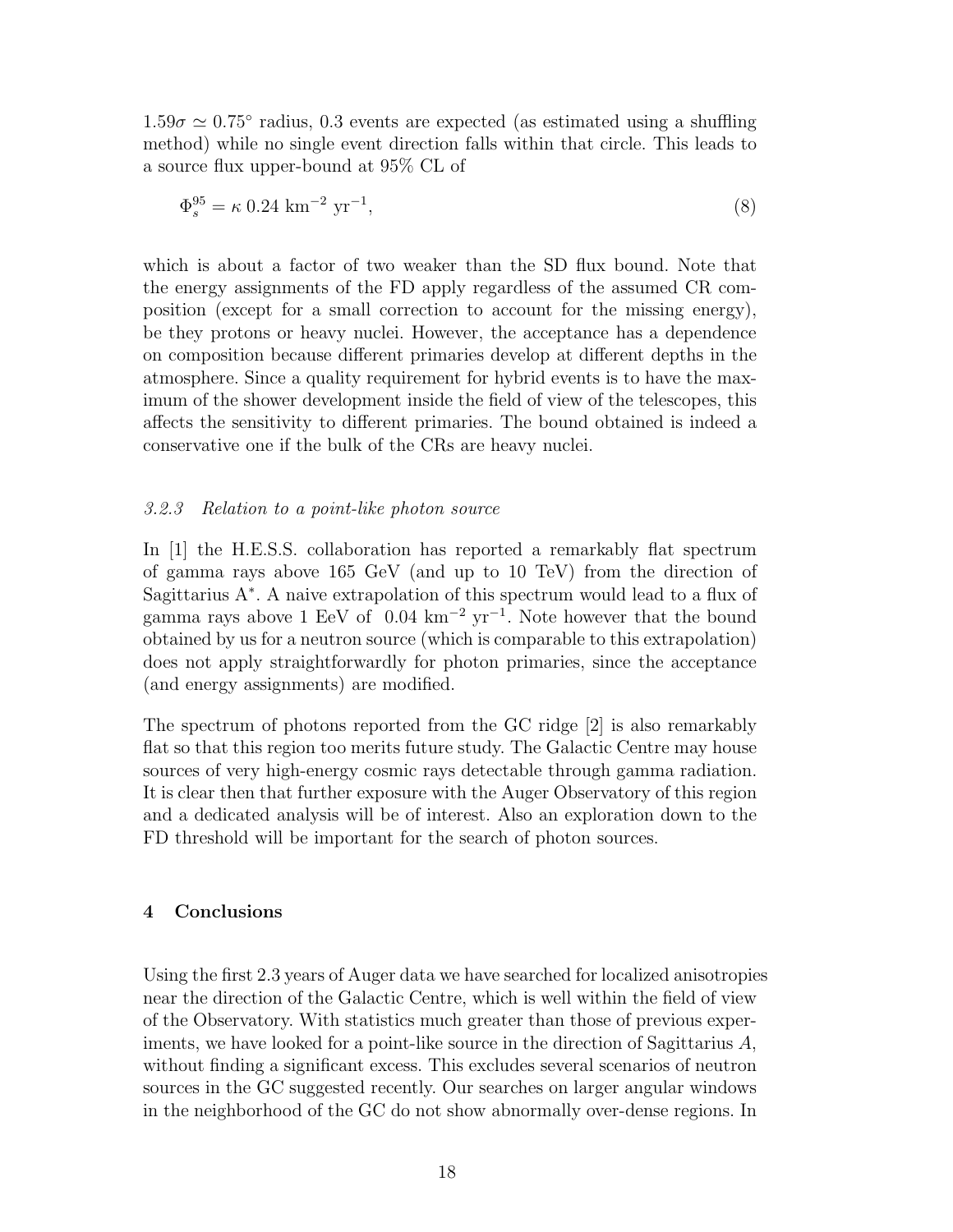$1.59\sigma \simeq 0.75^{\circ}$  radius, 0.3 events are expected (as estimated using a shuffling method) while no single event direction falls within that circle. This leads to a source flux upper-bound at 95% CL of

$$
\Phi_s^{95} = \kappa \, 0.24 \, \text{km}^{-2} \, \text{yr}^{-1},\tag{8}
$$

which is about a factor of two weaker than the SD flux bound. Note that the energy assignments of the FD apply regardless of the assumed CR composition (except for a small correction to account for the missing energy), be they protons or heavy nuclei. However, the acceptance has a dependence on composition because different primaries develop at different depths in the atmosphere. Since a quality requirement for hybrid events is to have the maximum of the shower development inside the field of view of the telescopes, this affects the sensitivity to different primaries. The bound obtained is indeed a conservative one if the bulk of the CRs are heavy nuclei.

# 3.2.3 Relation to a point-like photon source

In [1] the H.E.S.S. collaboration has reported a remarkably flat spectrum of gamma rays above 165 GeV (and up to 10 TeV) from the direction of Sagittarius A<sup>∗</sup> . A naive extrapolation of this spectrum would lead to a flux of gamma rays above 1 EeV of  $0.04 \text{ km}^{-2} \text{ yr}^{-1}$ . Note however that the bound obtained by us for a neutron source (which is comparable to this extrapolation) does not apply straightforwardly for photon primaries, since the acceptance (and energy assignments) are modified.

The spectrum of photons reported from the GC ridge [2] is also remarkably flat so that this region too merits future study. The Galactic Centre may house sources of very high-energy cosmic rays detectable through gamma radiation. It is clear then that further exposure with the Auger Observatory of this region and a dedicated analysis will be of interest. Also an exploration down to the FD threshold will be important for the search of photon sources.

# 4 Conclusions

Using the first 2.3 years of Auger data we have searched for localized anisotropies near the direction of the Galactic Centre, which is well within the field of view of the Observatory. With statistics much greater than those of previous experiments, we have looked for a point-like source in the direction of Sagittarius  $A$ , without finding a significant excess. This excludes several scenarios of neutron sources in the GC suggested recently. Our searches on larger angular windows in the neighborhood of the GC do not show abnormally over-dense regions. In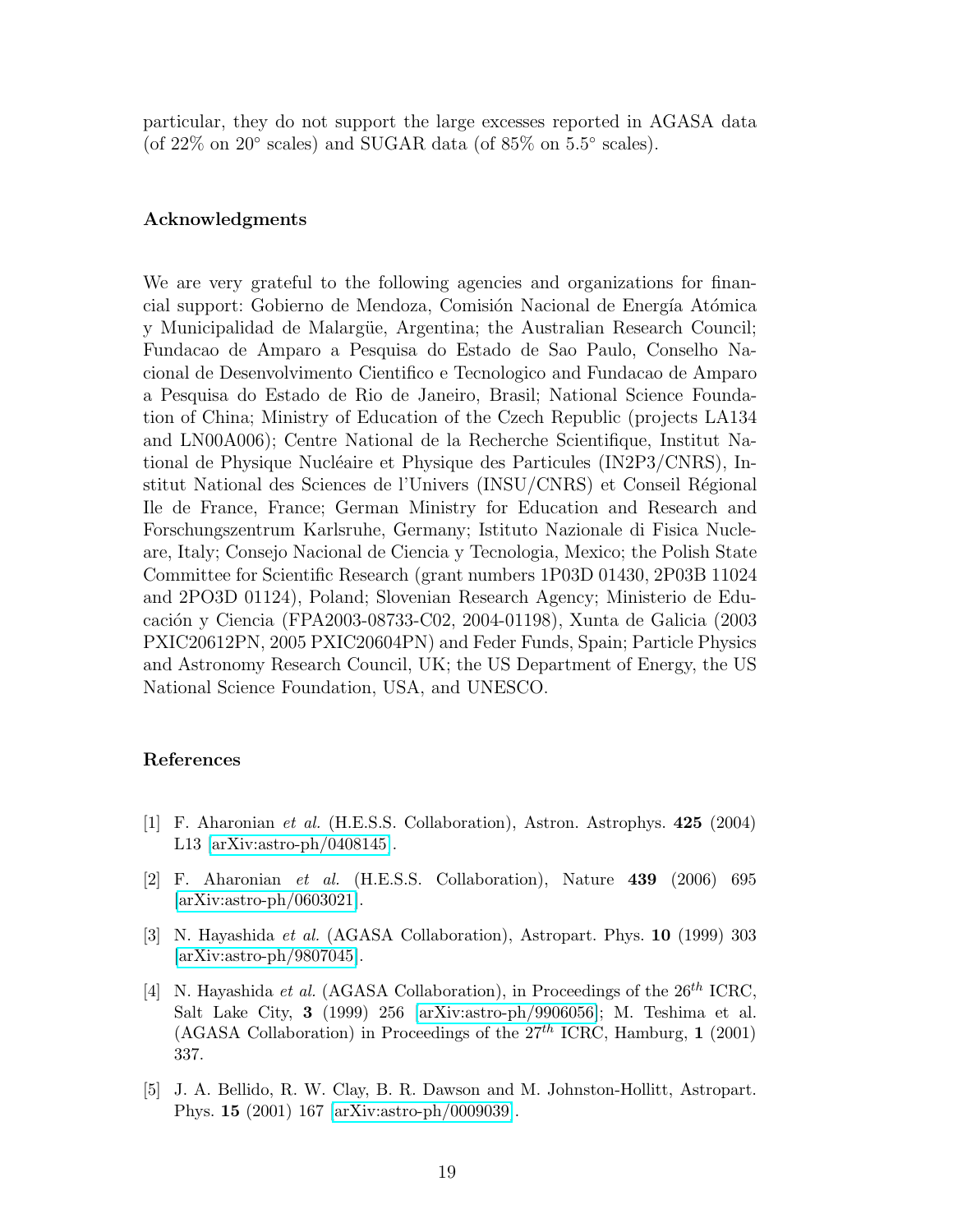particular, they do not support the large excesses reported in AGASA data (of 22% on 20 $\degree$  scales) and SUGAR data (of 85% on 5.5 $\degree$  scales).

### Acknowledgments

We are very grateful to the following agencies and organizations for financial support: Gobierno de Mendoza, Comisión Nacional de Energía Atómica y Municipalidad de Malargüe, Argentina; the Australian Research Council; Fundacao de Amparo a Pesquisa do Estado de Sao Paulo, Conselho Nacional de Desenvolvimento Cientifico e Tecnologico and Fundacao de Amparo a Pesquisa do Estado de Rio de Janeiro, Brasil; National Science Foundation of China; Ministry of Education of the Czech Republic (projects LA134 and LN00A006); Centre National de la Recherche Scientifique, Institut National de Physique Nucléaire et Physique des Particules (IN2P3/CNRS), Institut National des Sciences de l'Univers (INSU/CNRS) et Conseil R´egional Ile de France, France; German Ministry for Education and Research and Forschungszentrum Karlsruhe, Germany; Istituto Nazionale di Fisica Nucleare, Italy; Consejo Nacional de Ciencia y Tecnologia, Mexico; the Polish State Committee for Scientific Research (grant numbers 1P03D 01430, 2P03B 11024 and 2PO3D 01124), Poland; Slovenian Research Agency; Ministerio de Educación y Ciencia (FPA2003-08733-C02, 2004-01198), Xunta de Galicia (2003 PXIC20612PN, 2005 PXIC20604PN) and Feder Funds, Spain; Particle Physics and Astronomy Research Council, UK; the US Department of Energy, the US National Science Foundation, USA, and UNESCO.

## References

- [1] F. Aharonian et al. (H.E.S.S. Collaboration), Astron. Astrophys. 425 (2004) L13 [\[arXiv:astro-ph/0408145\]](http://arXiv.org/abs/astro-ph/0408145).
- [2] F. Aharonian et al. (H.E.S.S. Collaboration), Nature 439 (2006) 695 [\[arXiv:astro-ph/0603021\]](http://arXiv.org/abs/astro-ph/0603021).
- [3] N. Hayashida et al. (AGASA Collaboration), Astropart. Phys. 10 (1999) 303 [\[arXiv:astro-ph/9807045\]](http://arXiv.org/abs/astro-ph/9807045).
- [4] N. Hayashida et al. (AGASA Collaboration), in Proceedings of the  $26^{th}$  ICRC, Salt Lake City, 3 (1999) 256 [\[arXiv:astro-ph/9906056\]](http://arXiv.org/abs/astro-ph/9906056); M. Teshima et al. (AGASA Collaboration) in Proceedings of the  $27<sup>th</sup>$  ICRC, Hamburg, 1 (2001) 337.
- [5] J. A. Bellido, R. W. Clay, B. R. Dawson and M. Johnston-Hollitt, Astropart. Phys. 15 (2001) 167 [\[arXiv:astro-ph/0009039\]](http://arXiv.org/abs/astro-ph/0009039).